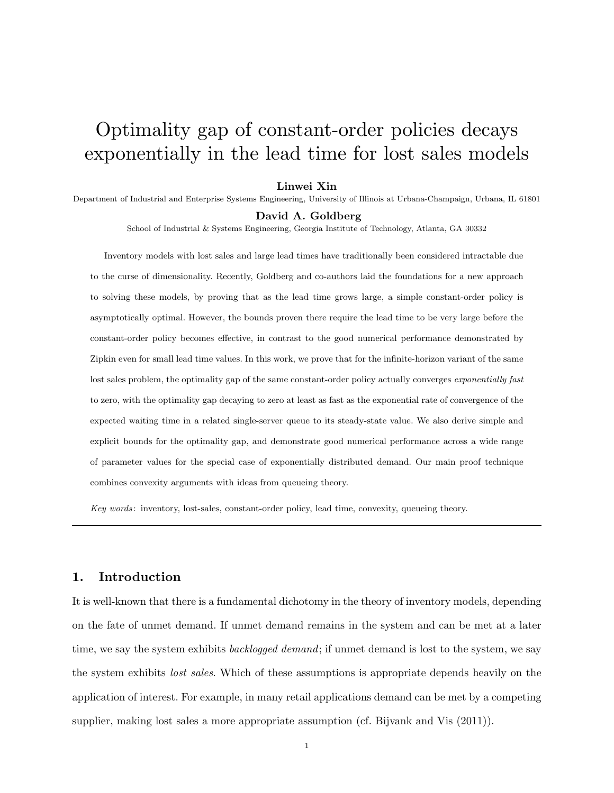# Optimality gap of constant-order policies decays exponentially in the lead time for lost sales models

#### Linwei Xin

Department of Industrial and Enterprise Systems Engineering, University of Illinois at Urbana-Champaign, Urbana, IL 61801

#### David A. Goldberg

School of Industrial & Systems Engineering, Georgia Institute of Technology, Atlanta, GA 30332

Inventory models with lost sales and large lead times have traditionally been considered intractable due to the curse of dimensionality. Recently, Goldberg and co-authors laid the foundations for a new approach to solving these models, by proving that as the lead time grows large, a simple constant-order policy is asymptotically optimal. However, the bounds proven there require the lead time to be very large before the constant-order policy becomes effective, in contrast to the good numerical performance demonstrated by Zipkin even for small lead time values. In this work, we prove that for the infinite-horizon variant of the same lost sales problem, the optimality gap of the same constant-order policy actually converges exponentially fast to zero, with the optimality gap decaying to zero at least as fast as the exponential rate of convergence of the expected waiting time in a related single-server queue to its steady-state value. We also derive simple and explicit bounds for the optimality gap, and demonstrate good numerical performance across a wide range of parameter values for the special case of exponentially distributed demand. Our main proof technique combines convexity arguments with ideas from queueing theory.

Key words : inventory, lost-sales, constant-order policy, lead time, convexity, queueing theory.

# 1. Introduction

It is well-known that there is a fundamental dichotomy in the theory of inventory models, depending on the fate of unmet demand. If unmet demand remains in the system and can be met at a later time, we say the system exhibits *backlogged demand*; if unmet demand is lost to the system, we say the system exhibits lost sales. Which of these assumptions is appropriate depends heavily on the application of interest. For example, in many retail applications demand can be met by a competing supplier, making lost sales a more appropriate assumption (cf. Bijvank and Vis (2011)).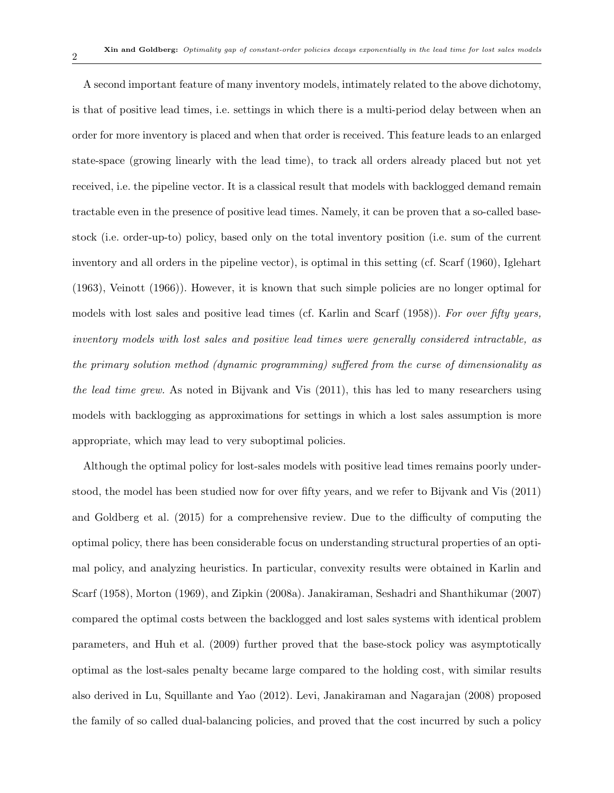A second important feature of many inventory models, intimately related to the above dichotomy, is that of positive lead times, i.e. settings in which there is a multi-period delay between when an order for more inventory is placed and when that order is received. This feature leads to an enlarged state-space (growing linearly with the lead time), to track all orders already placed but not yet received, i.e. the pipeline vector. It is a classical result that models with backlogged demand remain tractable even in the presence of positive lead times. Namely, it can be proven that a so-called basestock (i.e. order-up-to) policy, based only on the total inventory position (i.e. sum of the current inventory and all orders in the pipeline vector), is optimal in this setting (cf. Scarf (1960), Iglehart (1963), Veinott (1966)). However, it is known that such simple policies are no longer optimal for models with lost sales and positive lead times (cf. Karlin and Scarf (1958)). For over fifty years, inventory models with lost sales and positive lead times were generally considered intractable, as the primary solution method (dynamic programming) suffered from the curse of dimensionality as the lead time grew. As noted in Bijvank and Vis (2011), this has led to many researchers using models with backlogging as approximations for settings in which a lost sales assumption is more appropriate, which may lead to very suboptimal policies.

Although the optimal policy for lost-sales models with positive lead times remains poorly understood, the model has been studied now for over fifty years, and we refer to Bijvank and Vis (2011) and Goldberg et al. (2015) for a comprehensive review. Due to the difficulty of computing the optimal policy, there has been considerable focus on understanding structural properties of an optimal policy, and analyzing heuristics. In particular, convexity results were obtained in Karlin and Scarf (1958), Morton (1969), and Zipkin (2008a). Janakiraman, Seshadri and Shanthikumar (2007) compared the optimal costs between the backlogged and lost sales systems with identical problem parameters, and Huh et al. (2009) further proved that the base-stock policy was asymptotically optimal as the lost-sales penalty became large compared to the holding cost, with similar results also derived in Lu, Squillante and Yao (2012). Levi, Janakiraman and Nagarajan (2008) proposed the family of so called dual-balancing policies, and proved that the cost incurred by such a policy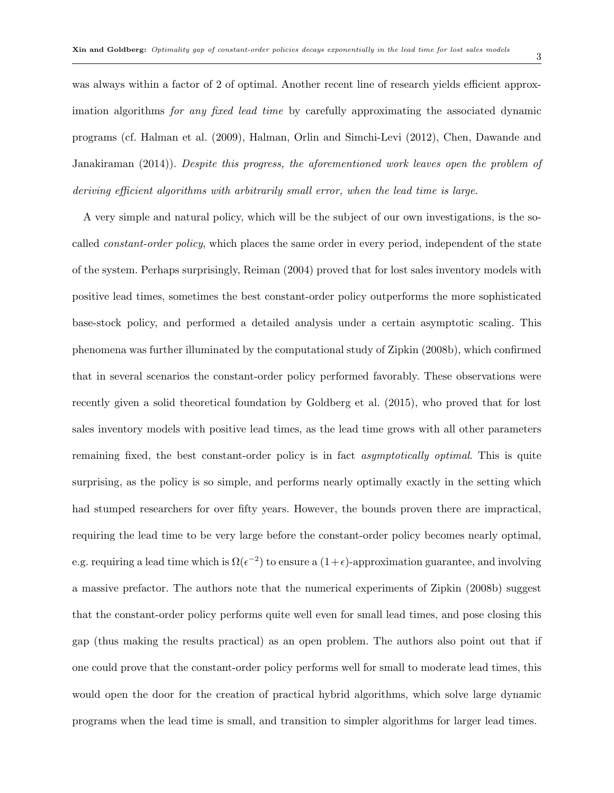was always within a factor of 2 of optimal. Another recent line of research yields efficient approximation algorithms for any fixed lead time by carefully approximating the associated dynamic programs (cf. Halman et al. (2009), Halman, Orlin and Simchi-Levi (2012), Chen, Dawande and Janakiraman (2014)). Despite this progress, the aforementioned work leaves open the problem of deriving efficient algorithms with arbitrarily small error, when the lead time is large.

A very simple and natural policy, which will be the subject of our own investigations, is the socalled *constant-order policy*, which places the same order in every period, independent of the state of the system. Perhaps surprisingly, Reiman (2004) proved that for lost sales inventory models with positive lead times, sometimes the best constant-order policy outperforms the more sophisticated base-stock policy, and performed a detailed analysis under a certain asymptotic scaling. This phenomena was further illuminated by the computational study of Zipkin (2008b), which confirmed that in several scenarios the constant-order policy performed favorably. These observations were recently given a solid theoretical foundation by Goldberg et al. (2015), who proved that for lost sales inventory models with positive lead times, as the lead time grows with all other parameters remaining fixed, the best constant-order policy is in fact *asymptotically optimal*. This is quite surprising, as the policy is so simple, and performs nearly optimally exactly in the setting which had stumped researchers for over fifty years. However, the bounds proven there are impractical, requiring the lead time to be very large before the constant-order policy becomes nearly optimal, e.g. requiring a lead time which is  $\Omega(\epsilon^{-2})$  to ensure a  $(1+\epsilon)$ -approximation guarantee, and involving a massive prefactor. The authors note that the numerical experiments of Zipkin (2008b) suggest that the constant-order policy performs quite well even for small lead times, and pose closing this gap (thus making the results practical) as an open problem. The authors also point out that if one could prove that the constant-order policy performs well for small to moderate lead times, this would open the door for the creation of practical hybrid algorithms, which solve large dynamic programs when the lead time is small, and transition to simpler algorithms for larger lead times.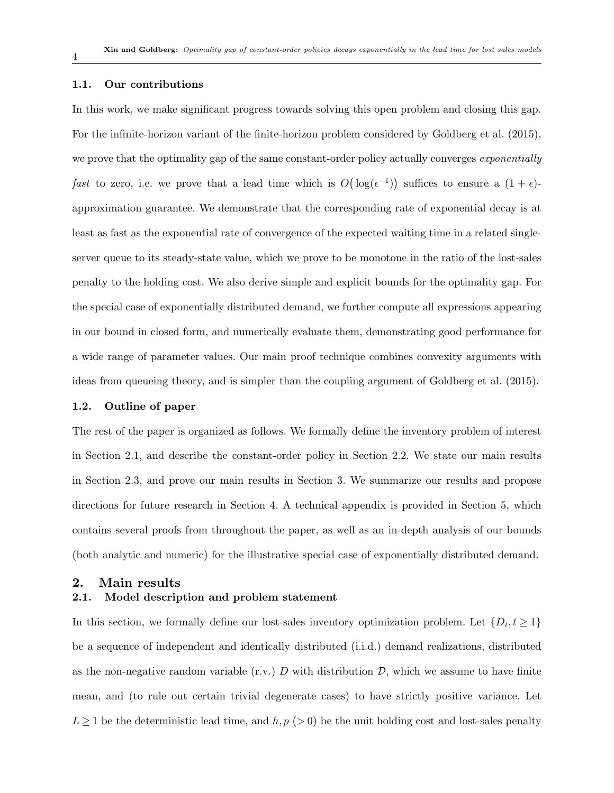#### 1.1. Our contributions

In this work, we make significant progress towards solving this open problem and closing this gap. For the infinite-horizon variant of the finite-horizon problem considered by Goldberg et al. (2015), we prove that the optimality gap of the same constant-order policy actually converges *exponentially* fast to zero, i.e. we prove that a lead time which is  $O(\log(\epsilon^{-1}))$  suffices to ensure a  $(1+\epsilon)$ approximation guarantee. We demonstrate that the corresponding rate of exponential decay is at least as fast as the exponential rate of convergence of the expected waiting time in a related singleserver queue to its steady-state value, which we prove to be monotone in the ratio of the lost-sales penalty to the holding cost. We also derive simple and explicit bounds for the optimality gap. For the special case of exponentially distributed demand, we further compute all expressions appearing in our bound in closed form, and numerically evaluate them, demonstrating good performance for a wide range of parameter values. Our main proof technique combines convexity arguments with ideas from queueing theory, and is simpler than the coupling argument of Goldberg et al. (2015).

#### 1.2. Outline of paper

The rest of the paper is organized as follows. We formally define the inventory problem of interest in Section 2.1, and describe the constant-order policy in Section 2.2. We state our main results in Section 2.3, and prove our main results in Section 3. We summarize our results and propose directions for future research in Section 4. A technical appendix is provided in Section 5, which contains several proofs from throughout the paper, as well as an in-depth analysis of our bounds (both analytic and numeric) for the illustrative special case of exponentially distributed demand.

# 2. Main results 2.1. Model description and problem statement

In this section, we formally define our lost-sales inventory optimization problem. Let  $\{D_t, t \geq 1\}$ be a sequence of independent and identically distributed (i.i.d.) demand realizations, distributed as the non-negative random variable (r.v.)  $D$  with distribution  $D$ , which we assume to have finite mean, and (to rule out certain trivial degenerate cases) to have strictly positive variance. Let  $L \geq 1$  be the deterministic lead time, and  $h, p (> 0)$  be the unit holding cost and lost-sales penalty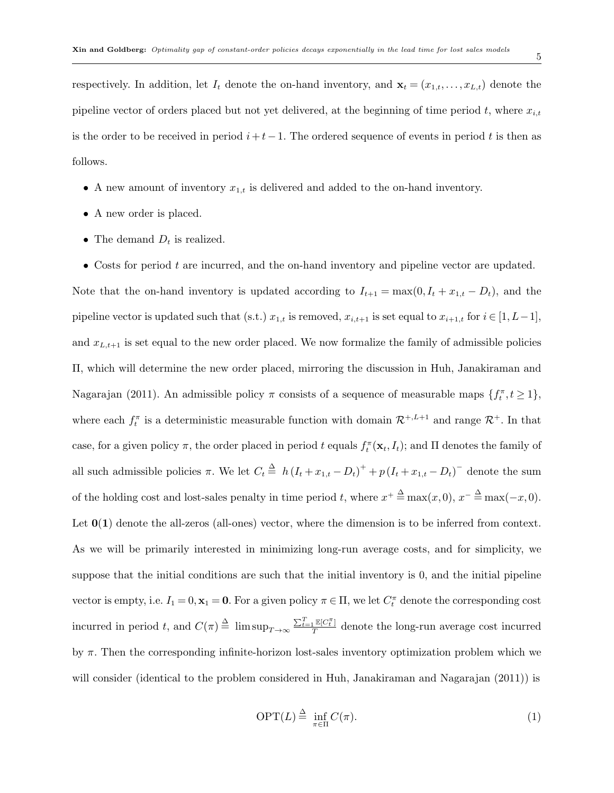5

respectively. In addition, let  $I_t$  denote the on-hand inventory, and  $\mathbf{x}_t = (x_{1,t}, \ldots, x_{L,t})$  denote the pipeline vector of orders placed but not yet delivered, at the beginning of time period  $t$ , where  $x_{i,t}$ is the order to be received in period  $i+t-1$ . The ordered sequence of events in period t is then as follows.

- A new amount of inventory  $x_{1,t}$  is delivered and added to the on-hand inventory.
- A new order is placed.
- The demand  $D_t$  is realized.
- Costs for period  $t$  are incurred, and the on-hand inventory and pipeline vector are updated.

Note that the on-hand inventory is updated according to  $I_{t+1} = \max(0, I_t + x_{1,t} - D_t)$ , and the pipeline vector is updated such that (s.t.)  $x_{1,t}$  is removed,  $x_{i,t+1}$  is set equal to  $x_{i+1,t}$  for  $i \in [1, L-1]$ , and  $x_{L,t+1}$  is set equal to the new order placed. We now formalize the family of admissible policies Π, which will determine the new order placed, mirroring the discussion in Huh, Janakiraman and Nagarajan (2011). An admissible policy  $\pi$  consists of a sequence of measurable maps  $\{f_t^{\pi}, t \geq 1\}$ , where each  $f_t^{\pi}$  is a deterministic measurable function with domain  $\mathcal{R}^{+,L+1}$  and range  $\mathcal{R}^+$ . In that case, for a given policy  $\pi$ , the order placed in period t equals  $f_t^{\pi}(\mathbf{x}_t, I_t)$ ; and  $\Pi$  denotes the family of all such admissible policies  $\pi$ . We let  $C_t \triangleq h(I_t + x_{1,t} - D_t)^+ + p(I_t + x_{1,t} - D_t)^-$  denote the sum of the holding cost and lost-sales penalty in time period t, where  $x^+ \stackrel{\Delta}{=} \max(x, 0)$ ,  $x^- \stackrel{\Delta}{=} \max(-x, 0)$ . Let  $0(1)$  denote the all-zeros (all-ones) vector, where the dimension is to be inferred from context. As we will be primarily interested in minimizing long-run average costs, and for simplicity, we suppose that the initial conditions are such that the initial inventory is 0, and the initial pipeline vector is empty, i.e.  $I_1 = 0$ ,  $\mathbf{x}_1 = \mathbf{0}$ . For a given policy  $\pi \in \Pi$ , we let  $C_t^{\pi}$  denote the corresponding cost incurred in period t, and  $C(\pi) \triangleq \limsup_{T \to \infty} \frac{\sum_{t=1}^{T} \mathbb{E}[C_t^{\pi}]}{T}$  $T^{L\underline{\mathbb{E}}[C_t]}$  denote the long-run average cost incurred by  $\pi$ . Then the corresponding infinite-horizon lost-sales inventory optimization problem which we will consider (identical to the problem considered in Huh, Janakiraman and Nagarajan (2011)) is

$$
\text{OPT}(L) \stackrel{\Delta}{=} \inf_{\pi \in \Pi} C(\pi). \tag{1}
$$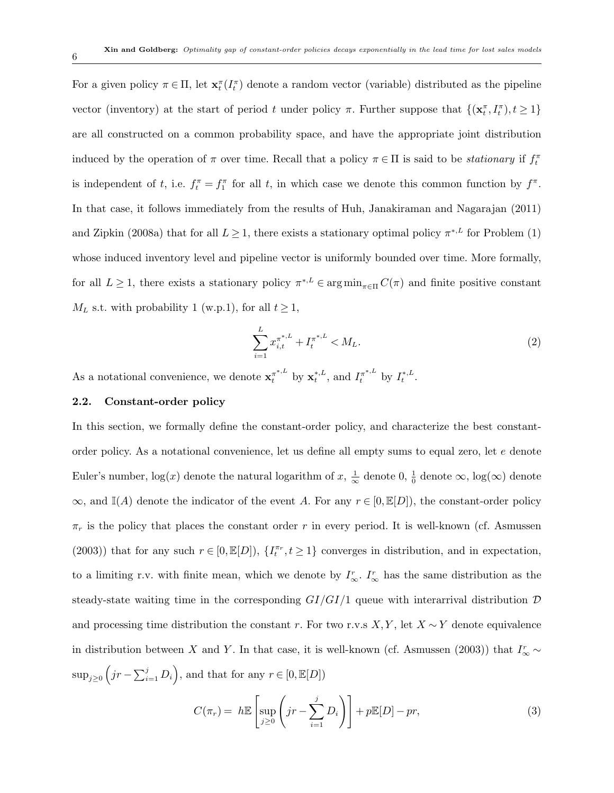For a given policy  $\pi \in \Pi$ , let  $\mathbf{x}_t^{\pi}(I_t^{\pi})$  denote a random vector (variable) distributed as the pipeline vector (inventory) at the start of period t under policy  $\pi$ . Further suppose that  $\{(\mathbf{x}_t^{\pi}, I_t^{\pi}), t \geq 1\}$ are all constructed on a common probability space, and have the appropriate joint distribution induced by the operation of  $\pi$  over time. Recall that a policy  $\pi \in \Pi$  is said to be *stationary* if  $f_t^{\pi}$ is independent of t, i.e.  $f_t^{\pi} = f_1^{\pi}$  for all t, in which case we denote this common function by  $f^{\pi}$ . In that case, it follows immediately from the results of Huh, Janakiraman and Nagarajan (2011) and Zipkin (2008a) that for all  $L \geq 1$ , there exists a stationary optimal policy  $\pi^{*,L}$  for Problem (1) whose induced inventory level and pipeline vector is uniformly bounded over time. More formally, for all  $L \geq 1$ , there exists a stationary policy  $\pi^{*,L} \in \argmin_{\pi \in \Pi} C(\pi)$  and finite positive constant  $M_L$  s.t. with probability 1 (w.p.1), for all  $t \geq 1$ ,

$$
\sum_{i=1}^{L} x_{i,t}^{\pi^{*,L}} + I_t^{\pi^{*,L}} < M_L. \tag{2}
$$

As a notational convenience, we denote  $\mathbf{x}_{t}^{\pi^{*,L}}$  by  $\mathbf{x}_{t}^{*,L}$ , and  $I_{t}^{\pi^{*,L}}$  by  $I_{t}^{*,L}$ .

## 2.2. Constant-order policy

In this section, we formally define the constant-order policy, and characterize the best constantorder policy. As a notational convenience, let us define all empty sums to equal zero, let e denote Euler's number,  $\log(x)$  denote the natural logarithm of  $x, \frac{1}{\infty}$  denote  $0, \frac{1}{0}$  denote  $\infty$ ,  $\log(\infty)$  denote  $\infty$ , and I(A) denote the indicator of the event A. For any  $r \in [0, E[D])$ , the constant-order policy  $\pi_r$  is the policy that places the constant order r in every period. It is well-known (cf. Asmussen (2003)) that for any such  $r \in [0, \mathbb{E}[D])$ ,  $\{I_t^{\pi_r}, t \geq 1\}$  converges in distribution, and in expectation, to a limiting r.v. with finite mean, which we denote by  $I_{\infty}^{r}$ .  $I_{\infty}^{r}$  has the same distribution as the steady-state waiting time in the corresponding  $GI/GI/1$  queue with interarrival distribution  $D$ and processing time distribution the constant r. For two r.v.s  $X, Y$ , let  $X \sim Y$  denote equivalence in distribution between X and Y. In that case, it is well-known (cf. Asmussen (2003)) that  $I^r_\infty \sim$  $\sup_{j\geq 0} (jr - \sum_{i=1}^j D_i)$ , and that for any  $r \in [0, \mathbb{E}[D])$ 

$$
C(\pi_r) = h \mathbb{E}\left[\sup_{j\geq 0} \left(jr - \sum_{i=1}^j D_i\right)\right] + p \mathbb{E}[D] - pr,\tag{3}
$$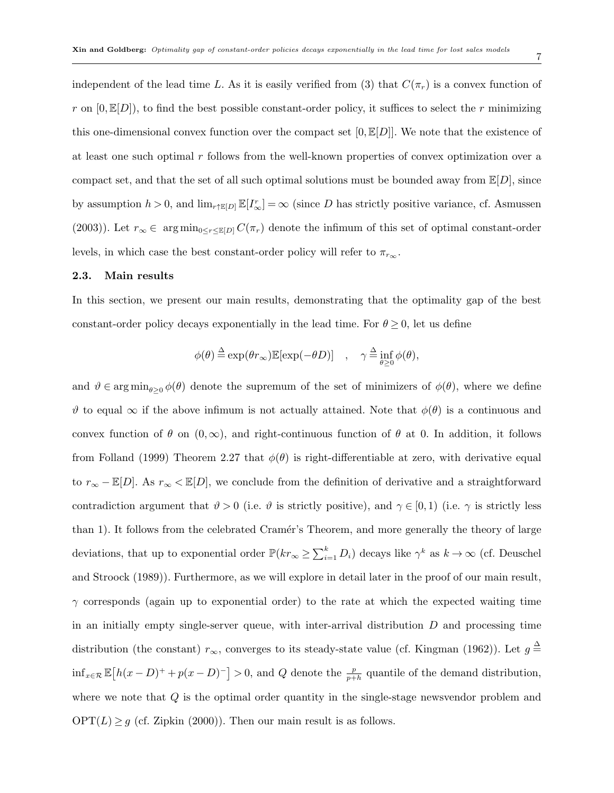independent of the lead time L. As it is easily verified from (3) that  $C(\pi_r)$  is a convex function of r on  $[0, \mathbb{E}[D])$ , to find the best possible constant-order policy, it suffices to select the r minimizing this one-dimensional convex function over the compact set  $[0, \mathbb{E}[D]]$ . We note that the existence of at least one such optimal  $r$  follows from the well-known properties of convex optimization over a compact set, and that the set of all such optimal solutions must be bounded away from  $\mathbb{E}[D]$ , since by assumption  $h > 0$ , and  $\lim_{r \uparrow} E[D] E[T_{\infty}] = \infty$  (since D has strictly positive variance, cf. Asmussen (2003)). Let  $r_{\infty} \in \arg \min_{0 \leq r \leq E[D]} C(\pi_r)$  denote the infimum of this set of optimal constant-order levels, in which case the best constant-order policy will refer to  $\pi_{r_{\infty}}$ .

#### 2.3. Main results

In this section, we present our main results, demonstrating that the optimality gap of the best constant-order policy decays exponentially in the lead time. For  $\theta \ge 0$ , let us define

$$
\phi(\theta) \stackrel{\Delta}{=} \exp(\theta r_{\infty}) \mathbb{E}[\exp(-\theta D)] \quad , \quad \gamma \stackrel{\Delta}{=} \inf_{\theta \ge 0} \phi(\theta),
$$

and  $\vartheta \in \arg\min_{\theta>0} \phi(\theta)$  denote the supremum of the set of minimizers of  $\phi(\theta)$ , where we define  $\vartheta$  to equal  $\infty$  if the above infimum is not actually attained. Note that  $\varphi(\theta)$  is a continuous and convex function of  $\theta$  on  $(0,\infty)$ , and right-continuous function of  $\theta$  at 0. In addition, it follows from Folland (1999) Theorem 2.27 that  $\phi(\theta)$  is right-differentiable at zero, with derivative equal to  $r_{\infty} - \mathbb{E}[D]$ . As  $r_{\infty} < \mathbb{E}[D]$ , we conclude from the definition of derivative and a straightforward contradiction argument that  $\vartheta > 0$  (i.e.  $\vartheta$  is strictly positive), and  $\gamma \in [0,1)$  (i.e.  $\gamma$  is strictly less than 1). It follows from the celebrated Cramér's Theorem, and more generally the theory of large deviations, that up to exponential order  $\mathbb{P}(kr_{\infty} \geq \sum_{i=1}^{k} D_i)$  decays like  $\gamma^{k}$  as  $k \to \infty$  (cf. Deuschel and Stroock (1989)). Furthermore, as we will explore in detail later in the proof of our main result,  $\gamma$  corresponds (again up to exponential order) to the rate at which the expected waiting time in an initially empty single-server queue, with inter-arrival distribution  $D$  and processing time distribution (the constant)  $r_{\infty}$ , converges to its steady-state value (cf. Kingman (1962)). Let  $g \triangleq$  $\inf_{x \in \mathcal{R}} \mathbb{E}\left[h(x-D)^{+}+p(x-D)^{-}\right] > 0$ , and Q denote the  $\frac{p}{p+h}$  quantile of the demand distribution, where we note that  $Q$  is the optimal order quantity in the single-stage newsvendor problem and  $\text{OPT}(L) \geq g$  (cf. Zipkin (2000)). Then our main result is as follows.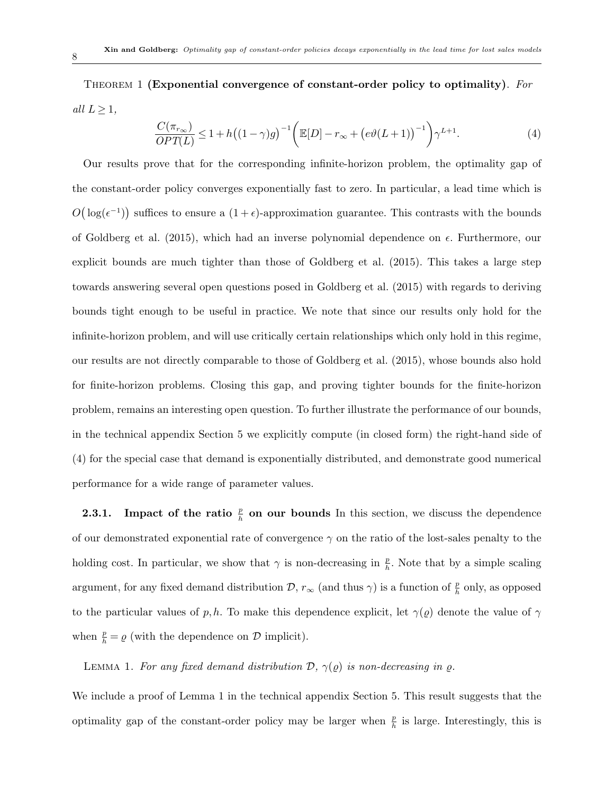THEOREM 1 (Exponential convergence of constant-order policy to optimality). For all  $L \geq 1$ ,

$$
\frac{C(\pi_{r_{\infty}})}{OPT(L)} \le 1 + h\big((1-\gamma)g\big)^{-1}\bigg(\mathbb{E}[D] - r_{\infty} + \big(e\vartheta(L+1)\big)^{-1}\bigg)\gamma^{L+1}.\tag{4}
$$

Our results prove that for the corresponding infinite-horizon problem, the optimality gap of the constant-order policy converges exponentially fast to zero. In particular, a lead time which is  $O(\log(\epsilon^{-1}))$  suffices to ensure a  $(1+\epsilon)$ -approximation guarantee. This contrasts with the bounds of Goldberg et al.  $(2015)$ , which had an inverse polynomial dependence on  $\epsilon$ . Furthermore, our explicit bounds are much tighter than those of Goldberg et al. (2015). This takes a large step towards answering several open questions posed in Goldberg et al. (2015) with regards to deriving bounds tight enough to be useful in practice. We note that since our results only hold for the infinite-horizon problem, and will use critically certain relationships which only hold in this regime, our results are not directly comparable to those of Goldberg et al. (2015), whose bounds also hold for finite-horizon problems. Closing this gap, and proving tighter bounds for the finite-horizon problem, remains an interesting open question. To further illustrate the performance of our bounds, in the technical appendix Section 5 we explicitly compute (in closed form) the right-hand side of (4) for the special case that demand is exponentially distributed, and demonstrate good numerical performance for a wide range of parameter values.

**2.3.1.** Impact of the ratio  $\frac{p}{h}$  on our bounds In this section, we discuss the dependence of our demonstrated exponential rate of convergence  $\gamma$  on the ratio of the lost-sales penalty to the holding cost. In particular, we show that  $\gamma$  is non-decreasing in  $\frac{p}{h}$ . Note that by a simple scaling argument, for any fixed demand distribution  $\mathcal{D}$ ,  $r_{\infty}$  (and thus  $\gamma$ ) is a function of  $\frac{p}{h}$  only, as opposed to the particular values of p, h. To make this dependence explicit, let  $\gamma(\rho)$  denote the value of  $\gamma$ when  $\frac{p}{h} = \varrho$  (with the dependence on  $\mathcal{D}$  implicit).

# LEMMA 1. For any fixed demand distribution  $\mathcal{D}, \gamma(\varrho)$  is non-decreasing in  $\varrho$ .

We include a proof of Lemma 1 in the technical appendix Section 5. This result suggests that the optimality gap of the constant-order policy may be larger when  $\frac{p}{h}$  is large. Interestingly, this is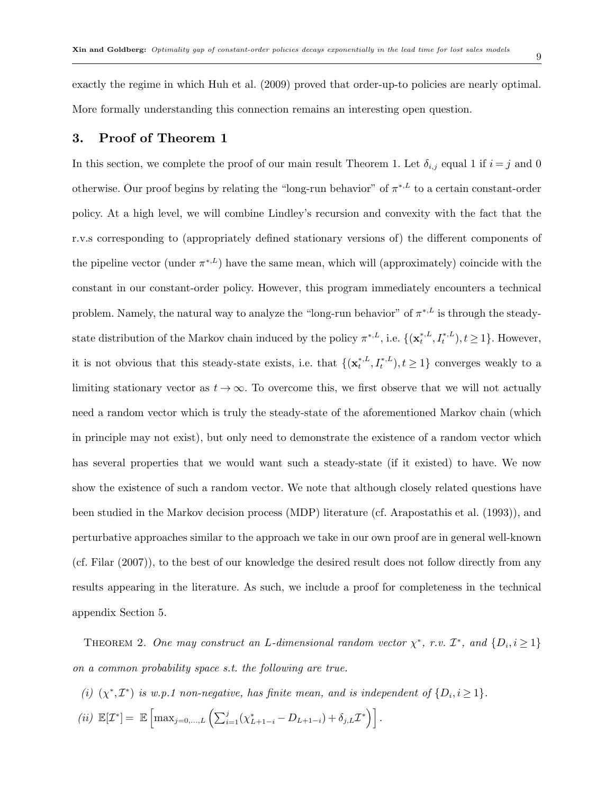exactly the regime in which Huh et al. (2009) proved that order-up-to policies are nearly optimal. More formally understanding this connection remains an interesting open question.

# 3. Proof of Theorem 1

In this section, we complete the proof of our main result Theorem 1. Let  $\delta_{i,j}$  equal 1 if  $i = j$  and 0 otherwise. Our proof begins by relating the "long-run behavior" of  $\pi^{*,L}$  to a certain constant-order policy. At a high level, we will combine Lindley's recursion and convexity with the fact that the r.v.s corresponding to (appropriately defined stationary versions of) the different components of the pipeline vector (under  $\pi^{*,L}$ ) have the same mean, which will (approximately) coincide with the constant in our constant-order policy. However, this program immediately encounters a technical problem. Namely, the natural way to analyze the "long-run behavior" of  $\pi^{*,L}$  is through the steadystate distribution of the Markov chain induced by the policy  $\pi^{*,L}$ , i.e.  $\{(\mathbf{x}_t^{*,L}, I_t^{*,L}), t \geq 1\}$ . However, it is not obvious that this steady-state exists, i.e. that  $\{(\mathbf{x}_t^{*,L}, I_t^{*,L}), t \geq 1\}$  converges weakly to a limiting stationary vector as  $t \to \infty$ . To overcome this, we first observe that we will not actually need a random vector which is truly the steady-state of the aforementioned Markov chain (which in principle may not exist), but only need to demonstrate the existence of a random vector which has several properties that we would want such a steady-state (if it existed) to have. We now show the existence of such a random vector. We note that although closely related questions have been studied in the Markov decision process (MDP) literature (cf. Arapostathis et al. (1993)), and perturbative approaches similar to the approach we take in our own proof are in general well-known (cf. Filar (2007)), to the best of our knowledge the desired result does not follow directly from any results appearing in the literature. As such, we include a proof for completeness in the technical appendix Section 5.

THEOREM 2. One may construct an L-dimensional random vector  $\chi^*$ , r.v.  $\mathcal{I}^*$ , and  $\{D_i, i \geq 1\}$ on a common probability space s.t. the following are true.

- (i)  $(\chi^*, \mathcal{I}^*)$  is w.p.1 non-negative, has finite mean, and is independent of  $\{D_i, i \geq 1\}$ .
- (ii)  $\mathbb{E}[\mathcal{I}^*] = \mathbb{E} \left[ \max_{j=0,...,L} \left( \sum_{i=1}^j (\chi^*_{L+1-i} D_{L+1-i}) + \delta_{j,L} \mathcal{I}^* \right) \right].$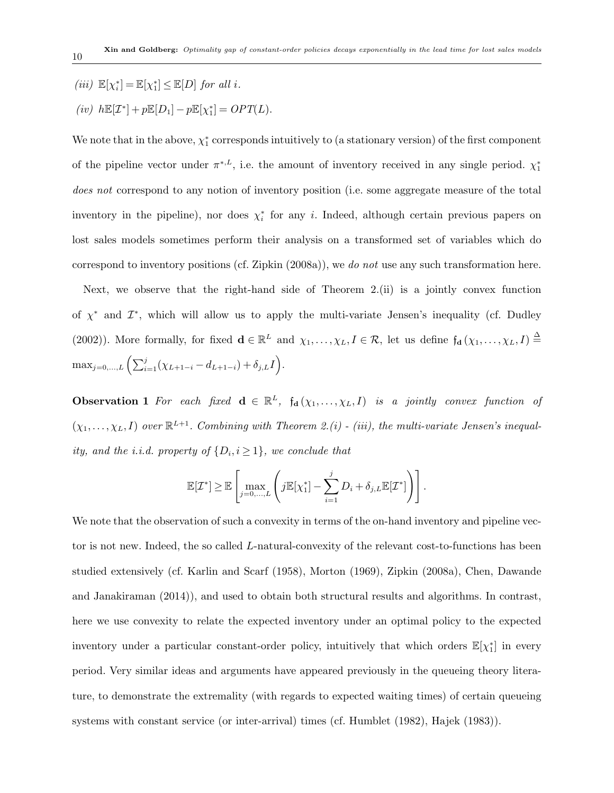(iii) 
$$
\mathbb{E}[\chi_i^*] = \mathbb{E}[\chi_1^*] \leq \mathbb{E}[D]
$$
 for all *i*.

$$
(iv) \ \ h\mathbb{E}[\mathcal{I}^*] + p\mathbb{E}[D_1] - p\mathbb{E}[\chi_1^*] = OPT(L).
$$

We note that in the above,  $\chi_1^*$  corresponds intuitively to (a stationary version) of the first component of the pipeline vector under  $\pi^{*,L}$ , i.e. the amount of inventory received in any single period.  $\chi_1^*$ does not correspond to any notion of inventory position (i.e. some aggregate measure of the total inventory in the pipeline), nor does  $\chi_i^*$  for any i. Indeed, although certain previous papers on lost sales models sometimes perform their analysis on a transformed set of variables which do correspond to inventory positions (cf. Zipkin (2008a)), we do not use any such transformation here.

Next, we observe that the right-hand side of Theorem 2.(ii) is a jointly convex function of  $\chi^*$  and  $\mathcal{I}^*$ , which will allow us to apply the multi-variate Jensen's inequality (cf. Dudley (2002)). More formally, for fixed  $\mathbf{d} \in \mathbb{R}^L$  and  $\chi_1, \ldots, \chi_L, I \in \mathcal{R}$ , let us define  $\mathfrak{f}_{\mathbf{d}}(\chi_1, \ldots, \chi_L, I) \triangleq$  $\max_{j=0,...,L} \left( \sum_{i=1}^{j} (\chi_{L+1-i} - d_{L+1-i}) + \delta_{j,L} I \right).$ 

**Observation 1** For each fixed  $\mathbf{d} \in \mathbb{R}^L$ ,  $\mathfrak{f}_d(\chi_1,\ldots,\chi_L,I)$  is a jointly convex function of  $(\chi_1,\ldots,\chi_L,I)$  over  $\mathbb{R}^{L+1}$ . Combining with Theorem 2.(i) - (iii), the multi-variate Jensen's inequality, and the i.i.d. property of  $\{D_i, i \geq 1\}$ , we conclude that

$$
\mathbb{E}[\mathcal{I}^*] \geq \mathbb{E}\left[\max_{j=0,\ldots,L}\left(j\mathbb{E}[\chi_1^*]-\sum_{i=1}^j D_i + \delta_{j,L}\mathbb{E}[\mathcal{I}^*]\right)\right].
$$

We note that the observation of such a convexity in terms of the on-hand inventory and pipeline vector is not new. Indeed, the so called L-natural-convexity of the relevant cost-to-functions has been studied extensively (cf. Karlin and Scarf (1958), Morton (1969), Zipkin (2008a), Chen, Dawande and Janakiraman (2014)), and used to obtain both structural results and algorithms. In contrast, here we use convexity to relate the expected inventory under an optimal policy to the expected inventory under a particular constant-order policy, intuitively that which orders  $\mathbb{E}[\chi_1^*]$  in every period. Very similar ideas and arguments have appeared previously in the queueing theory literature, to demonstrate the extremality (with regards to expected waiting times) of certain queueing systems with constant service (or inter-arrival) times (cf. Humblet (1982), Hajek (1983)).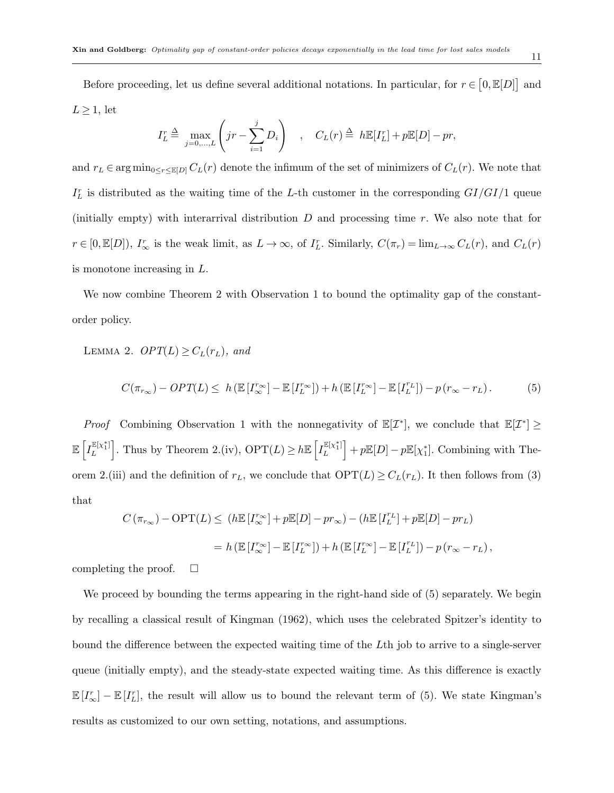Before proceeding, let us define several additional notations. In particular, for  $r \in [0, \mathbb{E}[D]]$  and  $L \geq 1$ , let

$$
I_L^r \triangleq \max_{j=0,\dots,L} \left( jr - \sum_{i=1}^j D_i \right) , \quad C_L(r) \triangleq h \mathbb{E}[I_L^r] + p \mathbb{E}[D] - pr,
$$

and  $r_L \in \arg \min_{0 \le r \le E[D]} C_L(r)$  denote the infimum of the set of minimizers of  $C_L(r)$ . We note that  $I_L^r$  is distributed as the waiting time of the L-th customer in the corresponding  $GI/GI/1$  queue (initially empty) with interarrival distribution  $D$  and processing time r. We also note that for  $r \in [0, \mathbb{E}[D]), I^r_{\infty}$  is the weak limit, as  $L \to \infty$ , of  $I^r_L$ . Similarly,  $C(\pi_r) = \lim_{L \to \infty} C_L(r)$ , and  $C_L(r)$ is monotone increasing in L.

We now combine Theorem 2 with Observation 1 to bound the optimality gap of the constantorder policy.

LEMMA 2.  $OPT(L) \geq C_L(r_L)$ , and

$$
C(\pi_{r_{\infty}}) - OPT(L) \leq h \left( \mathbb{E}\left[I_{\infty}^{r_{\infty}}\right] - \mathbb{E}\left[I_{L}^{r_{\infty}}\right]\right) + h \left( \mathbb{E}\left[I_{L}^{r_{\infty}}\right] - \mathbb{E}\left[I_{L}^{r_{L}}\right]\right) - p \left(r_{\infty} - r_{L}\right). \tag{5}
$$

*Proof* Combining Observation 1 with the nonnegativity of  $\mathbb{E}[\mathcal{I}^*]$ , we conclude that  $\mathbb{E}[\mathcal{I}^*] \geq$  $\mathbb{E}\left[I_{L}^{\mathbb{E}\left[\chi_{1}^{*}\right]}\right]$  $\mathbb{E}[x_1^*]$ . Thus by Theorem 2.(iv),  $\text{OPT}(L) \geq h \mathbb{E}\left[I_L^{\mathbb{E}[x_1^*]}\right]$  $\mathbb{E}[X_1^*]$  +  $p\mathbb{E}[D] - p\mathbb{E}[\chi_1^*]$ . Combining with Theorem 2.(iii) and the definition of  $r<sub>L</sub>$ , we conclude that  $\text{OPT}(L) \geq C_L(r_L)$ . It then follows from (3) that

$$
C(\pi_{r_{\infty}}) - \text{OPT}(L) \leq (h\mathbb{E}[I_{\infty}^{r_{\infty}}] + p\mathbb{E}[D] - pr_{\infty}) - (h\mathbb{E}[I_{L}^{r_{L}}] + p\mathbb{E}[D] - pr_{L})
$$
  
=  $h(\mathbb{E}[I_{\infty}^{r_{\infty}}] - \mathbb{E}[I_{L}^{r_{\infty}}]) + h(\mathbb{E}[I_{L}^{r_{\infty}}] - \mathbb{E}[I_{L}^{r_{L}}]) - p(r_{\infty} - r_{L}),$ 

completing the proof.  $\square$ 

We proceed by bounding the terms appearing in the right-hand side of  $(5)$  separately. We begin by recalling a classical result of Kingman (1962), which uses the celebrated Spitzer's identity to bound the difference between the expected waiting time of the Lth job to arrive to a single-server queue (initially empty), and the steady-state expected waiting time. As this difference is exactly  $\mathbb{E}[I_{\infty}^r] - \mathbb{E}[I_{L}^r]$ , the result will allow us to bound the relevant term of (5). We state Kingman's results as customized to our own setting, notations, and assumptions.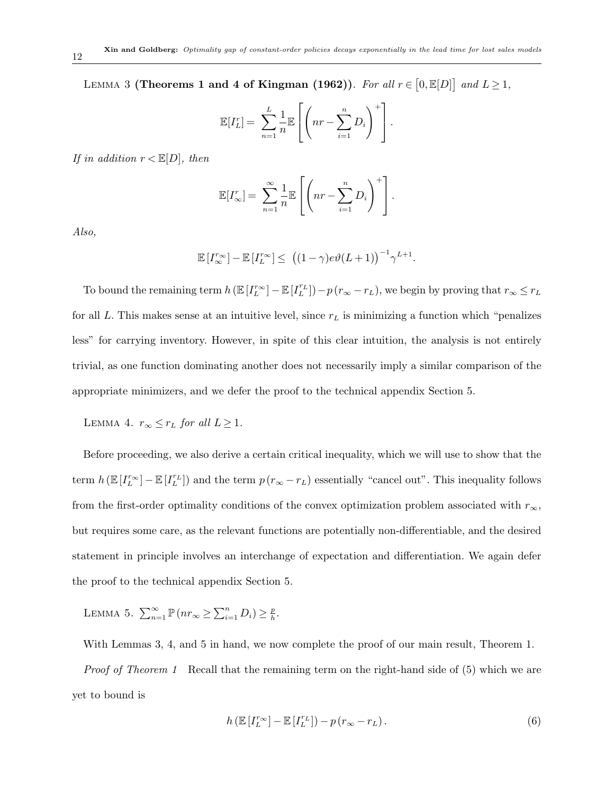LEMMA 3 (Theorems 1 and 4 of Kingman (1962)). For all  $r \in [0, \mathbb{E}[D]]$  and  $L \ge 1$ ,

$$
\mathbb{E}[I_L^r] = \sum_{n=1}^L \frac{1}{n} \mathbb{E}\left[\left(nr - \sum_{i=1}^n D_i\right)^+\right].
$$

If in addition  $r < \mathbb{E}[D]$ , then

$$
\mathbb{E}[I_{\infty}^r] = \sum_{n=1}^{\infty} \frac{1}{n} \mathbb{E}\left[\left(nr - \sum_{i=1}^n D_i\right)^+\right].
$$

Also,

$$
\mathbb{E}\left[I_{\infty}^{r_{\infty}}\right]-\mathbb{E}\left[I_{L}^{r_{\infty}}\right]\leq\left((1-\gamma)e\vartheta(L+1)\right)^{-1}\gamma^{L+1}.
$$

To bound the remaining term  $h (\mathbb{E}[I_L^{r_\infty}] - \mathbb{E}[I_L^{r_L}]) - p(r_\infty - r_L)$ , we begin by proving that  $r_\infty \leq r_L$ for all L. This makes sense at an intuitive level, since  $r<sub>L</sub>$  is minimizing a function which "penalizes less" for carrying inventory. However, in spite of this clear intuition, the analysis is not entirely trivial, as one function dominating another does not necessarily imply a similar comparison of the appropriate minimizers, and we defer the proof to the technical appendix Section 5.

LEMMA 4.  $r_{\infty} \leq r_L$  for all  $L \geq 1$ .

Before proceeding, we also derive a certain critical inequality, which we will use to show that the term  $h(\mathbb{E}[I_L^{r_{\infty}}] - \mathbb{E}[I_L^{r_L}])$  and the term  $p(r_{\infty}-r_L)$  essentially "cancel out". This inequality follows from the first-order optimality conditions of the convex optimization problem associated with  $r_{\infty}$ , but requires some care, as the relevant functions are potentially non-differentiable, and the desired statement in principle involves an interchange of expectation and differentiation. We again defer the proof to the technical appendix Section 5.

LEMMA 5.  $\sum_{n=1}^{\infty} \mathbb{P}(nr_{\infty} \geq \sum_{i=1}^{n} D_i) \geq \frac{p}{h}$  $\frac{p}{h}$ .

With Lemmas 3, 4, and 5 in hand, we now complete the proof of our main result, Theorem 1.

*Proof of Theorem 1* Recall that the remaining term on the right-hand side of  $(5)$  which we are yet to bound is

$$
h\left(\mathbb{E}\left[I_L^{r_{\infty}}\right] - \mathbb{E}\left[I_L^{r_L}\right]\right) - p\left(r_{\infty} - r_L\right). \tag{6}
$$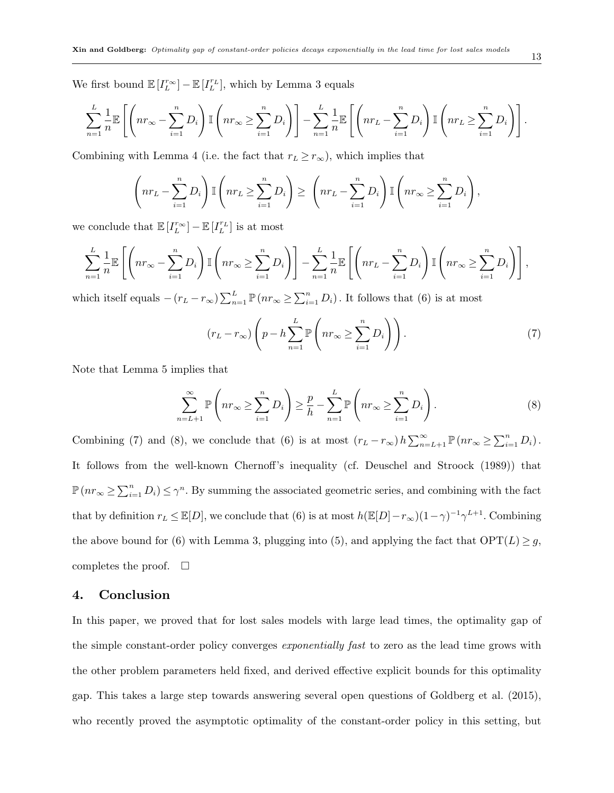We first bound  $\mathbb{E}[I_L^{r_\infty}] - \mathbb{E}[I_L^{r_L}],$  which by Lemma 3 equals

$$
\sum_{n=1}^{L} \frac{1}{n} \mathbb{E}\left[\left(nr_{\infty} - \sum_{i=1}^{n} D_{i}\right) \mathbb{I}\left(nr_{\infty} \geq \sum_{i=1}^{n} D_{i}\right)\right] - \sum_{n=1}^{L} \frac{1}{n} \mathbb{E}\left[\left(nr_{L} - \sum_{i=1}^{n} D_{i}\right) \mathbb{I}\left(nr_{L} \geq \sum_{i=1}^{n} D_{i}\right)\right].
$$

Combining with Lemma 4 (i.e. the fact that  $r_L \geq r_\infty$ ), which implies that

$$
\left(nr_L-\sum_{i=1}^n D_i\right)\mathbb{I}\left(nr_L\geq \sum_{i=1}^n D_i\right)\geq \left(nr_L-\sum_{i=1}^n D_i\right)\mathbb{I}\left(nr_\infty\geq \sum_{i=1}^n D_i\right),
$$

we conclude that  $\mathbb{E}[I_L^{r_{\infty}}] - \mathbb{E}[I_L^{r_L}]$  is at most

$$
\sum_{n=1}^{L} \frac{1}{n} \mathbb{E}\left[\left(nr_\infty - \sum_{i=1}^{n} D_i\right) \mathbb{I}\left(nr_\infty \ge \sum_{i=1}^{n} D_i\right)\right] - \sum_{n=1}^{L} \frac{1}{n} \mathbb{E}\left[\left(nr_L - \sum_{i=1}^{n} D_i\right) \mathbb{I}\left(nr_\infty \ge \sum_{i=1}^{n} D_i\right)\right],
$$

which itself equals  $-(r_L - r_\infty) \sum_{n=1}^L \mathbb{P}(nr_\infty \geq \sum_{i=1}^n D_i)$ . It follows that (6) is at most

$$
(r_L - r_\infty) \left( p - h \sum_{n=1}^L \mathbb{P}\left( nr_\infty \ge \sum_{i=1}^n D_i \right) \right). \tag{7}
$$

Note that Lemma 5 implies that

$$
\sum_{n=L+1}^{\infty} \mathbb{P}\left(nr_{\infty} \ge \sum_{i=1}^{n} D_{i}\right) \ge \frac{p}{h} - \sum_{n=1}^{L} \mathbb{P}\left(nr_{\infty} \ge \sum_{i=1}^{n} D_{i}\right).
$$
\n(8)

Combining (7) and (8), we conclude that (6) is at most  $(r_L - r_\infty) h \sum_{n=L+1}^{\infty} \mathbb{P}(n r_\infty \geq \sum_{i=1}^n D_i)$ . It follows from the well-known Chernoff's inequality (cf. Deuschel and Stroock (1989)) that  $\mathbb{P}(nr_{\infty} \geq \sum_{i=1}^{n} D_i) \leq \gamma^n$ . By summing the associated geometric series, and combining with the fact that by definition  $r_L \leq \mathbb{E}[D]$ , we conclude that (6) is at most  $h(\mathbb{E}[D]-r_{\infty})(1-\gamma)^{-1}\gamma^{L+1}$ . Combining the above bound for (6) with Lemma 3, plugging into (5), and applying the fact that  $\text{OPT}(L) \geq g$ , completes the proof.  $\square$ 

# 4. Conclusion

In this paper, we proved that for lost sales models with large lead times, the optimality gap of the simple constant-order policy converges exponentially fast to zero as the lead time grows with the other problem parameters held fixed, and derived effective explicit bounds for this optimality gap. This takes a large step towards answering several open questions of Goldberg et al. (2015), who recently proved the asymptotic optimality of the constant-order policy in this setting, but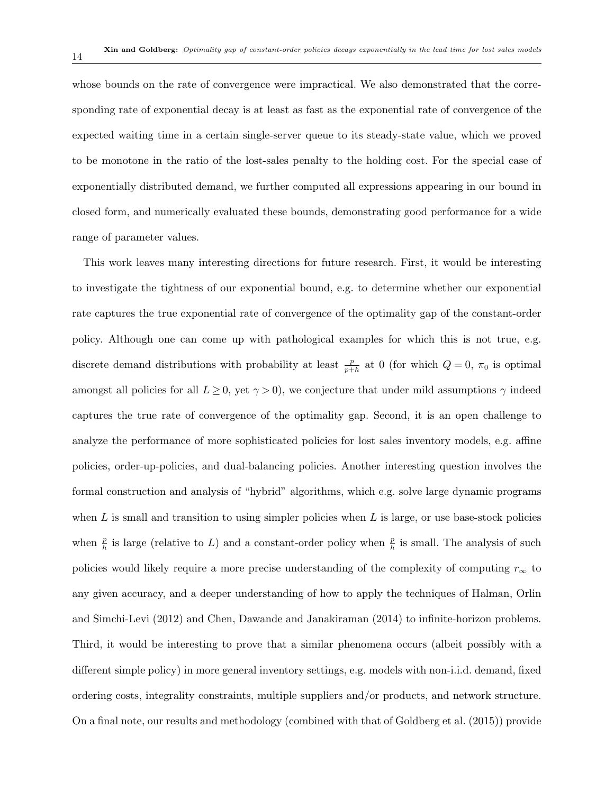whose bounds on the rate of convergence were impractical. We also demonstrated that the corresponding rate of exponential decay is at least as fast as the exponential rate of convergence of the expected waiting time in a certain single-server queue to its steady-state value, which we proved to be monotone in the ratio of the lost-sales penalty to the holding cost. For the special case of exponentially distributed demand, we further computed all expressions appearing in our bound in closed form, and numerically evaluated these bounds, demonstrating good performance for a wide range of parameter values.

This work leaves many interesting directions for future research. First, it would be interesting to investigate the tightness of our exponential bound, e.g. to determine whether our exponential rate captures the true exponential rate of convergence of the optimality gap of the constant-order policy. Although one can come up with pathological examples for which this is not true, e.g. discrete demand distributions with probability at least  $\frac{p}{p+h}$  at 0 (for which  $Q=0$ ,  $\pi_0$  is optimal amongst all policies for all  $L \geq 0$ , yet  $\gamma > 0$ ), we conjecture that under mild assumptions  $\gamma$  indeed captures the true rate of convergence of the optimality gap. Second, it is an open challenge to analyze the performance of more sophisticated policies for lost sales inventory models, e.g. affine policies, order-up-policies, and dual-balancing policies. Another interesting question involves the formal construction and analysis of "hybrid" algorithms, which e.g. solve large dynamic programs when  $L$  is small and transition to using simpler policies when  $L$  is large, or use base-stock policies when  $\frac{p}{h}$  is large (relative to L) and a constant-order policy when  $\frac{p}{h}$  is small. The analysis of such policies would likely require a more precise understanding of the complexity of computing  $r_{\infty}$  to any given accuracy, and a deeper understanding of how to apply the techniques of Halman, Orlin and Simchi-Levi (2012) and Chen, Dawande and Janakiraman (2014) to infinite-horizon problems. Third, it would be interesting to prove that a similar phenomena occurs (albeit possibly with a different simple policy) in more general inventory settings, e.g. models with non-i.i.d. demand, fixed ordering costs, integrality constraints, multiple suppliers and/or products, and network structure. On a final note, our results and methodology (combined with that of Goldberg et al. (2015)) provide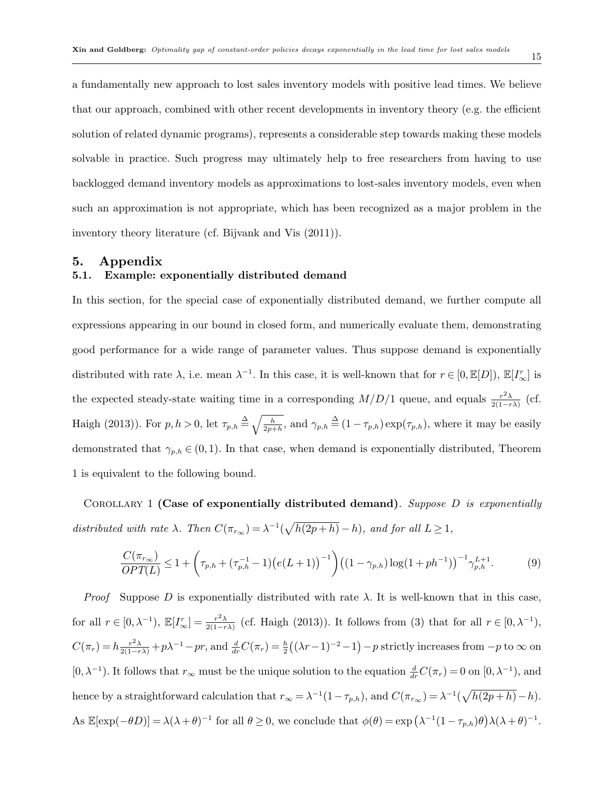a fundamentally new approach to lost sales inventory models with positive lead times. We believe that our approach, combined with other recent developments in inventory theory (e.g. the efficient solution of related dynamic programs), represents a considerable step towards making these models solvable in practice. Such progress may ultimately help to free researchers from having to use backlogged demand inventory models as approximations to lost-sales inventory models, even when such an approximation is not appropriate, which has been recognized as a major problem in the inventory theory literature (cf. Bijvank and Vis (2011)).

## 5. Appendix

# 5.1. Example: exponentially distributed demand

In this section, for the special case of exponentially distributed demand, we further compute all expressions appearing in our bound in closed form, and numerically evaluate them, demonstrating good performance for a wide range of parameter values. Thus suppose demand is exponentially distributed with rate  $\lambda$ , i.e. mean  $\lambda^{-1}$ . In this case, it is well-known that for  $r \in [0, \mathbb{E}[D])$ ,  $\mathbb{E}[I_{\infty}^r]$  is the expected steady-state waiting time in a corresponding  $M/D/1$  queue, and equals  $\frac{r^2\lambda}{2(1-r)}$  $rac{r^2\lambda}{2(1-r\lambda)}$  (cf. Haigh (2013)). For  $p, h > 0$ , let  $\tau_{p,h} \triangleq \sqrt{\frac{h}{2p+h}}$ , and  $\gamma_{p,h} \triangleq (1 - \tau_{p,h}) \exp(\tau_{p,h})$ , where it may be easily demonstrated that  $\gamma_{p,h} \in (0,1)$ . In that case, when demand is exponentially distributed, Theorem 1 is equivalent to the following bound.

COROLLARY 1 (Case of exponentially distributed demand). Suppose  $D$  is exponentially distributed with rate  $\lambda$ . Then  $C(\pi_{r_{\infty}}) = \lambda^{-1}(\sqrt{h(2p+h)}-h)$ , and for all  $L \geq 1$ ,

$$
\frac{C(\pi_{r_{\infty}})}{OPT(L)} \le 1 + \left(\tau_{p,h} + (\tau_{p,h}^{-1} - 1)\left(e(L+1)\right)^{-1}\right) \left((1 - \gamma_{p,h})\log(1 + ph^{-1})\right)^{-1} \gamma_{p,h}^{L+1}.
$$
\n(9)

*Proof* Suppose D is exponentially distributed with rate  $\lambda$ . It is well-known that in this case, for all  $r \in [0, \lambda^{-1}), \mathbb{E}[I^r_{\infty}] = \frac{r^2 \lambda}{2(1-r)}$  $\frac{r^2\lambda}{2(1-r\lambda)}$  (cf. Haigh (2013)). It follows from (3) that for all  $r \in [0, \lambda^{-1}),$  $C(\pi_r) = h \frac{r^2 \lambda}{2(1-r\lambda)} + p\lambda^{-1} - pr$ , and  $\frac{d}{dr}C(\pi_r) = \frac{h}{2}((\lambda r - 1)^{-2} - 1) - p$  strictly increases from  $-p$  to  $\infty$  on  $[0, \lambda^{-1})$ . It follows that  $r_{\infty}$  must be the unique solution to the equation  $\frac{d}{dr}C(\pi_r) = 0$  on  $[0, \lambda^{-1})$ , and hence by a straightforward calculation that  $r_{\infty} = \lambda^{-1}(1-\tau_{p,h})$ , and  $C(\pi_{r_{\infty}}) = \lambda^{-1}(\sqrt{h(2p+h)}-h)$ . As  $\mathbb{E}[\exp(-\theta D)] = \lambda(\lambda + \theta)^{-1}$  for all  $\theta \ge 0$ , we conclude that  $\phi(\theta) = \exp(\lambda^{-1}(1 - \tau_{p,h})\theta)\lambda(\lambda + \theta)^{-1}$ .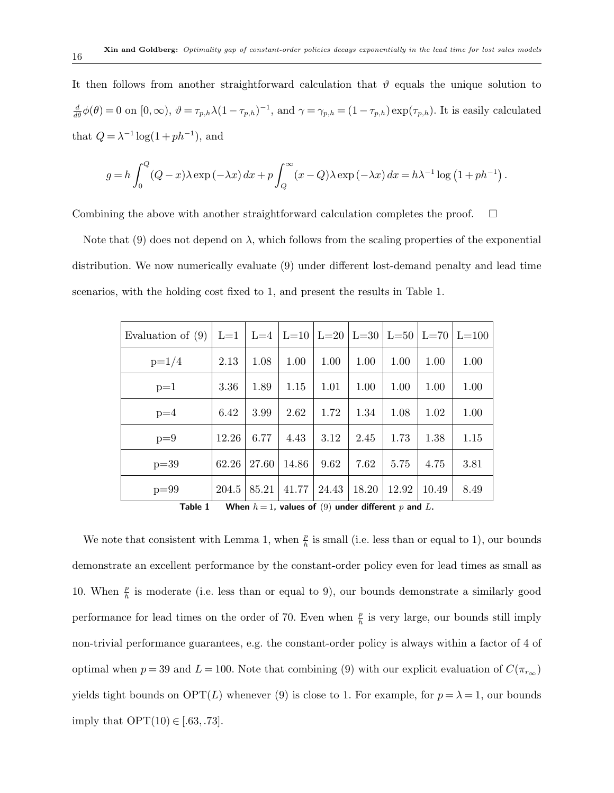It then follows from another straightforward calculation that  $\vartheta$  equals the unique solution to  $\frac{d}{d\theta}\phi(\theta) = 0$  on  $[0,\infty)$ ,  $\theta = \tau_{p,h}\lambda(1-\tau_{p,h})^{-1}$ , and  $\gamma = \gamma_{p,h} = (1-\tau_{p,h})\exp(\tau_{p,h})$ . It is easily calculated that  $Q = \lambda^{-1} \log(1 + p h^{-1})$ , and

$$
g = h \int_0^Q (Q - x) \lambda \exp(-\lambda x) dx + p \int_Q^\infty (x - Q) \lambda \exp(-\lambda x) dx = h \lambda^{-1} \log (1 + ph^{-1}).
$$

Combining the above with another straightforward calculation completes the proof.  $\Box$ 

Note that (9) does not depend on  $\lambda$ , which follows from the scaling properties of the exponential distribution. We now numerically evaluate (9) under different lost-demand penalty and lead time scenarios, with the holding cost fixed to 1, and present the results in Table 1.

| Evaluation of $(9)$ | $L=1$ |       |       |       |       |       |       | L=4   L=10   L=20   L=30   L=50   L=70   L=100 |
|---------------------|-------|-------|-------|-------|-------|-------|-------|------------------------------------------------|
| $p=1/4$             | 2.13  | 1.08  | 1.00  | 1.00  | 1.00  | 1.00  | 1.00  | 1.00                                           |
| $p=1$               | 3.36  | 1.89  | 1.15  | 1.01  | 1.00  | 1.00  | 1.00  | 1.00                                           |
| $p=4$               | 6.42  | 3.99  | 2.62  | 1.72  | 1.34  | 1.08  | 1.02  | 1.00                                           |
| $p=9$               | 12.26 | 6.77  | 4.43  | 3.12  | 2.45  | 1.73  | 1.38  | 1.15                                           |
| $p=39$              | 62.26 | 27.60 | 14.86 | 9.62  | 7.62  | 5.75  | 4.75  | 3.81                                           |
| $p=99$              | 204.5 | 85.21 | 41.77 | 24.43 | 18.20 | 12.92 | 10.49 | 8.49                                           |

Table 1 When  $h = 1$ , values of  $(9)$  under different p and L.

We note that consistent with Lemma 1, when  $\frac{p}{h}$  is small (i.e. less than or equal to 1), our bounds demonstrate an excellent performance by the constant-order policy even for lead times as small as 10. When  $\frac{p}{h}$  is moderate (i.e. less than or equal to 9), our bounds demonstrate a similarly good performance for lead times on the order of 70. Even when  $\frac{p}{h}$  is very large, our bounds still imply non-trivial performance guarantees, e.g. the constant-order policy is always within a factor of 4 of optimal when  $p = 39$  and  $L = 100$ . Note that combining (9) with our explicit evaluation of  $C(\pi_{r_{\infty}})$ yields tight bounds on  $\text{OPT}(L)$  whenever (9) is close to 1. For example, for  $p = \lambda = 1$ , our bounds imply that  $OPT(10) \in [.63, .73]$ .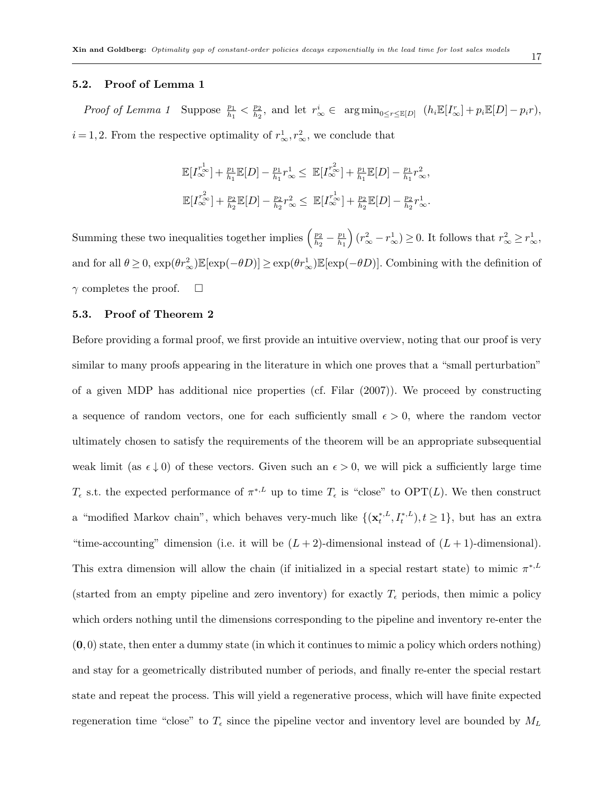#### 5.2. Proof of Lemma 1

*Proof of Lemma 1* Suppose  $\frac{p_1}{h_1} < \frac{p_2}{h_2}$  $\frac{p_2}{h_2}$ , and let  $r^i_{\infty} \in \arg\min_{0 \le r \le \mathbb{E}[D]} (h_i \mathbb{E}[I^r_{\infty}] + p_i \mathbb{E}[D] - p_i r),$  $i = 1, 2$ . From the respective optimality of  $r^1_{\infty}, r^2_{\infty}$ , we conclude that

$$
\mathbb{E}[I_{\infty}^{r_{\infty}^1}] + \frac{p_1}{h_1} \mathbb{E}[D] - \frac{p_1}{h_1} r_{\infty}^1 \leq \mathbb{E}[I_{\infty}^{r_{\infty}^2}] + \frac{p_1}{h_1} \mathbb{E}[D] - \frac{p_1}{h_1} r_{\infty}^2,
$$
  

$$
\mathbb{E}[I_{\infty}^{r_{\infty}^2}] + \frac{p_2}{h_2} \mathbb{E}[D] - \frac{p_2}{h_2} r_{\infty}^2 \leq \mathbb{E}[I_{\infty}^{r_{\infty}^1}] + \frac{p_2}{h_2} \mathbb{E}[D] - \frac{p_2}{h_2} r_{\infty}^1.
$$

Summing these two inequalities together implies  $\left(\frac{p_2}{p_2}\right)$  $\frac{p_2}{h_2} - \frac{p_1}{h_1}$  $h_1$  $(r_{\infty}^2 - r_{\infty}^1) \geq 0$ . It follows that  $r_{\infty}^2 \geq r_{\infty}^1$ , and for all  $\theta \ge 0$ ,  $\exp(\theta r_{\infty}^2) \mathbb{E}[\exp(-\theta D)] \ge \exp(\theta r_{\infty}^1) \mathbb{E}[\exp(-\theta D)]$ . Combining with the definition of  $\gamma$  completes the proof.  $\Box$ 

### 5.3. Proof of Theorem 2

Before providing a formal proof, we first provide an intuitive overview, noting that our proof is very similar to many proofs appearing in the literature in which one proves that a "small perturbation" of a given MDP has additional nice properties (cf. Filar (2007)). We proceed by constructing a sequence of random vectors, one for each sufficiently small  $\epsilon > 0$ , where the random vector ultimately chosen to satisfy the requirements of the theorem will be an appropriate subsequential weak limit (as  $\epsilon \downarrow 0$ ) of these vectors. Given such an  $\epsilon > 0$ , we will pick a sufficiently large time  $T_{\epsilon}$  s.t. the expected performance of  $\pi^{*,L}$  up to time  $T_{\epsilon}$  is "close" to OPT(L). We then construct a "modified Markov chain", which behaves very-much like  $\{(\mathbf{x}_t^{*,L}, I_t^{*,L}), t \geq 1\}$ , but has an extra "time-accounting" dimension (i.e. it will be  $(L+2)$ -dimensional instead of  $(L+1)$ -dimensional). This extra dimension will allow the chain (if initialized in a special restart state) to mimic  $\pi^{*,L}$ (started from an empty pipeline and zero inventory) for exactly  $T_{\epsilon}$  periods, then mimic a policy which orders nothing until the dimensions corresponding to the pipeline and inventory re-enter the  $(0,0)$  state, then enter a dummy state (in which it continues to mimic a policy which orders nothing) and stay for a geometrically distributed number of periods, and finally re-enter the special restart state and repeat the process. This will yield a regenerative process, which will have finite expected regeneration time "close" to  $T_{\epsilon}$  since the pipeline vector and inventory level are bounded by  $M_L$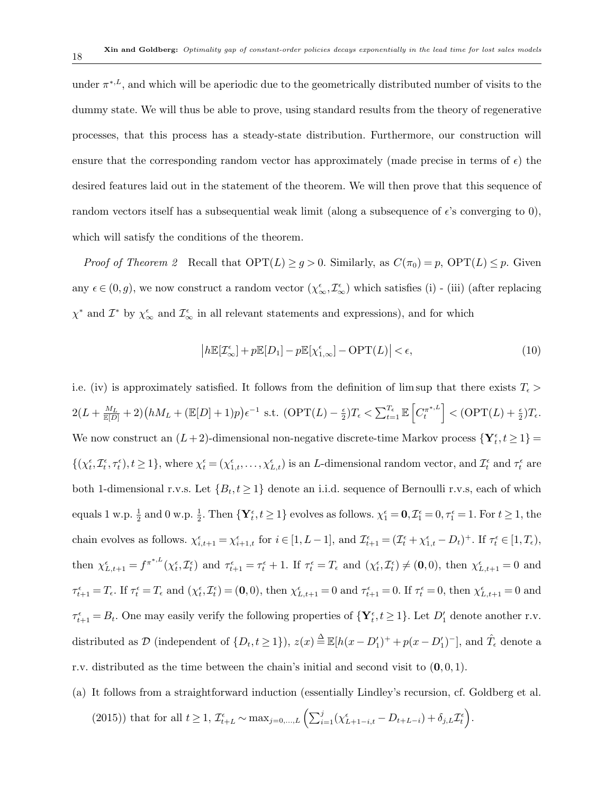under  $\pi^{*,L}$ , and which will be aperiodic due to the geometrically distributed number of visits to the dummy state. We will thus be able to prove, using standard results from the theory of regenerative processes, that this process has a steady-state distribution. Furthermore, our construction will ensure that the corresponding random vector has approximately (made precise in terms of  $\epsilon$ ) the desired features laid out in the statement of the theorem. We will then prove that this sequence of random vectors itself has a subsequential weak limit (along a subsequence of  $\epsilon$ 's converging to 0), which will satisfy the conditions of the theorem.

*Proof of Theorem 2* Recall that  $\text{OPT}(L) \geq g > 0$ . Similarly, as  $C(\pi_0) = p$ ,  $\text{OPT}(L) \leq p$ . Given any  $\epsilon \in (0, g)$ , we now construct a random vector  $(\chi^{\epsilon}_{\infty}, \mathcal{I}^{\epsilon}_{\infty})$  which satisfies (i) - (iii) (after replacing  $\chi^*$  and  $\mathcal{I}^*$  by  $\chi^{\epsilon}_{\infty}$  and  $\mathcal{I}^{\epsilon}_{\infty}$  in all relevant statements and expressions), and for which

$$
\left| h\mathbb{E}[\mathcal{I}_{\infty}^{\epsilon}] + p\mathbb{E}[D_1] - p\mathbb{E}[\chi_{1,\infty}^{\epsilon}] - \text{OPT}(L) \right| < \epsilon,
$$
\n(10)

i.e. (iv) is approximately satisfied. It follows from the definition of lim sup that there exists  $T_{\epsilon}$  $2(L + \frac{M_L}{\mathbb{E}[D]} + 2)(hM_L + (\mathbb{E}[D] + 1)p)\epsilon^{-1}$  s.t.  $(\text{OPT}(L) - \frac{\epsilon}{2})$  $\frac{\epsilon}{2} \big) T_{\epsilon} < \sum_{t=1}^{T_{\epsilon}} \mathbb{E} \left[ C_{t}^{\pi^{*,L}} \right]$  $\left| \sum_{t}^{\pi^{*,L}} \right| < (\text{OPT}(L) + \frac{\epsilon}{2})T_{\epsilon}.$ We now construct an  $(L+2)$ -dimensional non-negative discrete-time Markov process  $\{Y_t^{\epsilon}, t \geq 1\}$  =  $\{(\chi_t^{\epsilon}, \mathcal{I}_t^{\epsilon}, \tau_t^{\epsilon}), t \geq 1\}$ , where  $\chi_t^{\epsilon} = (\chi_{1,t}^{\epsilon}, \ldots, \chi_{L,t}^{\epsilon})$  is an *L*-dimensional random vector, and  $\mathcal{I}_t^{\epsilon}$  and  $\tau_t^{\epsilon}$  are both 1-dimensional r.v.s. Let  $\{B_t, t \geq 1\}$  denote an i.i.d. sequence of Bernoulli r.v.s, each of which equals 1 w.p.  $\frac{1}{2}$  and 0 w.p.  $\frac{1}{2}$ . Then  $\{Y_t^{\epsilon}, t \geq 1\}$  evolves as follows.  $\chi_1^{\epsilon} = 0, \mathcal{I}_1^{\epsilon} = 0, \tau_1^{\epsilon} = 1$ . For  $t \geq 1$ , the chain evolves as follows.  $\chi_{i,t+1}^{\epsilon} = \chi_{i+1,t}^{\epsilon}$  for  $i \in [1, L-1]$ , and  $\mathcal{I}_{t+1}^{\epsilon} = (\mathcal{I}_{t}^{\epsilon} + \chi_{1,t}^{\epsilon} - D_t)^+$ . If  $\tau_t^{\epsilon} \in [1, T_{\epsilon})$ , then  $\chi_{L,t+1}^{\epsilon} = f^{\pi^{*,L}}(\chi_t^{\epsilon}, \mathcal{I}_t^{\epsilon})$  and  $\tau_{t+1}^{\epsilon} = \tau_t^{\epsilon} + 1$ . If  $\tau_t^{\epsilon} = T_{\epsilon}$  and  $(\chi_t^{\epsilon}, \mathcal{I}_t^{\epsilon}) \neq (\mathbf{0}, 0)$ , then  $\chi_{L,t+1}^{\epsilon} = 0$  and  $\tau_{t+1}^{\epsilon} = T_{\epsilon}$ . If  $\tau_t^{\epsilon} = T_{\epsilon}$  and  $(\chi_t^{\epsilon}, \mathcal{I}_t^{\epsilon}) = (0, 0)$ , then  $\chi_{L,t+1}^{\epsilon} = 0$  and  $\tau_{t+1}^{\epsilon} = 0$ . If  $\tau_t^{\epsilon} = 0$ , then  $\chi_{L,t+1}^{\epsilon} = 0$  and  $\tau_{t+1}^{\epsilon} = B_t$ . One may easily verify the following properties of  $\{Y_t^{\epsilon}, t \geq 1\}$ . Let  $D'_1$  denote another r.v. distributed as D (independent of  $\{D_t, t \ge 1\}$ ),  $z(x) \stackrel{\Delta}{=} \mathbb{E}[h(x - D'_1)^+ + p(x - D'_1)^-]$ , and  $\hat{T}_{\epsilon}$  denote a r.v. distributed as the time between the chain's initial and second visit to  $(0, 0, 1)$ .

(a) It follows from a straightforward induction (essentially Lindley's recursion, cf. Goldberg et al. (2015)) that for all  $t \geq 1$ ,  $\mathcal{I}_{t+L}^{\epsilon} \sim \max_{j=0,...,L} \left( \sum_{i=1}^{j} (\chi_{L+1-i,t}^{\epsilon} - D_{t+L-i}) + \delta_{j,L} \mathcal{I}_{t}^{\epsilon} \right)$ .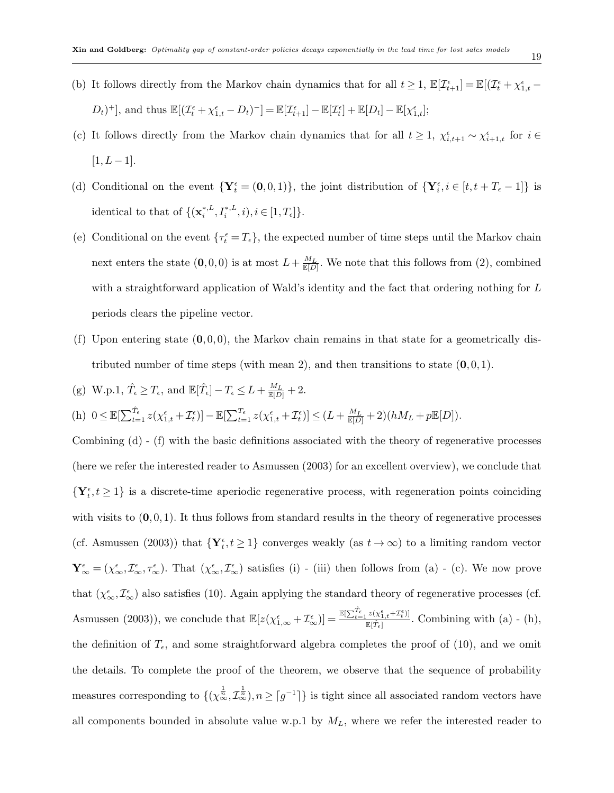- (b) It follows directly from the Markov chain dynamics that for all  $t \geq 1$ ,  $\mathbb{E}[\mathcal{I}_{t+1}^{\epsilon}] = \mathbb{E}[(\mathcal{I}_{t}^{\epsilon} + \chi_{1,t}^{\epsilon} \chi_{1,t}^{\epsilon})]$  $(D_t)^+$ , and thus  $\mathbb{E}[(\mathcal{I}_t^{\epsilon} + \chi_{1,t}^{\epsilon} - D_t)^-] = \mathbb{E}[\mathcal{I}_{t+1}^{\epsilon}] - \mathbb{E}[\mathcal{I}_t^{\epsilon}] + \mathbb{E}[D_t] - \mathbb{E}[\chi_{1,t}^{\epsilon}];$
- (c) It follows directly from the Markov chain dynamics that for all  $t \geq 1$ ,  $\chi_{i,t+1}^{\epsilon} \sim \chi_{i+1,t}^{\epsilon}$  for  $i \in$  $[1, L - 1].$
- (d) Conditional on the event  $\{Y_t^{\epsilon} = (0,0,1)\}\,$ , the joint distribution of  $\{Y_t^{\epsilon}, i \in [t, t + T_{\epsilon} 1]\}$  is identical to that of  $\{(\mathbf{x}_i^{*,L}, I_i^{*,L}, i), i \in [1, T_{\epsilon}]\}.$
- (e) Conditional on the event  $\{\tau_t^{\epsilon} = T_{\epsilon}\}\)$ , the expected number of time steps until the Markov chain next enters the state  $(0,0,0)$  is at most  $L + \frac{M_L}{\mathbb{E}[D]}$ . We note that this follows from  $(2)$ , combined with a straightforward application of Wald's identity and the fact that ordering nothing for L periods clears the pipeline vector.
- (f) Upon entering state  $(0, 0, 0)$ , the Markov chain remains in that state for a geometrically distributed number of time steps (with mean 2), and then transitions to state  $(0, 0, 1)$ .
- (g) W.p.1,  $\hat{T}_{\epsilon} \geq T_{\epsilon}$ , and  $\mathbb{E}[\hat{T}_{\epsilon}] T_{\epsilon} \leq L + \frac{M_L}{\mathbb{E}[D]} + 2$ . (h)  $0 \leq \mathbb{E}[\sum_{t=1}^{\hat{T}_{\epsilon}} z(\chi_{1,t}^{\epsilon} + \mathcal{I}_{t}^{\epsilon})] - \mathbb{E}[\sum_{t=1}^{T_{\epsilon}} z(\chi_{1,t}^{\epsilon} + \mathcal{I}_{t}^{\epsilon})] \leq (L + \frac{M_L}{\mathbb{E}[D]} + 2)(hM_L + p\mathbb{E}[D]).$

Combining  $(d)$  - (f) with the basic definitions associated with the theory of regenerative processes (here we refer the interested reader to Asmussen (2003) for an excellent overview), we conclude that  $\{Y_t^{\epsilon}, t \geq 1\}$  is a discrete-time aperiodic regenerative process, with regeneration points coinciding with visits to  $(0, 0, 1)$ . It thus follows from standard results in the theory of regenerative processes (cf. Asmussen (2003)) that  $\{Y_t^{\epsilon}, t \geq 1\}$  converges weakly (as  $t \to \infty$ ) to a limiting random vector  $\mathbf{Y}_{\infty}^{\epsilon} = (\chi_{\infty}^{\epsilon}, \mathcal{I}_{\infty}^{\epsilon}, \tau_{\infty}^{\epsilon})$ . That  $(\chi_{\infty}^{\epsilon}, \mathcal{I}_{\infty}^{\epsilon})$  satisfies (i) - (iii) then follows from (a) - (c). We now prove that  $(\chi^{\epsilon}_{\infty}, \mathcal{I}^{\epsilon}_{\infty})$  also satisfies (10). Again applying the standard theory of regenerative processes (cf. Asmussen (2003)), we conclude that  $\mathbb{E}[z(\chi_{1,\infty}^{\epsilon} + \mathcal{I}_{\infty}^{\epsilon})] = \frac{\mathbb{E}[\sum_{t=1}^{\hat{T}_{\epsilon}} z(\chi_{1,t}^{\epsilon} + \mathcal{I}_{t}^{\epsilon})]}{\mathbb{E}[\hat{T}_{t}]}$  $\frac{Z(X_1,t+Z_t)}{\mathbb{E}[\hat{T}_\epsilon]}$ . Combining with (a) - (h), the definition of  $T_{\epsilon}$ , and some straightforward algebra completes the proof of (10), and we omit the details. To complete the proof of the theorem, we observe that the sequence of probability measures corresponding to  $\{(\chi_\infty^{\frac{1}{n}}, \mathcal{I}_\infty^{\frac{1}{n}}), n \geq \lceil g^{-1} \rceil\}$  is tight since all associated random vectors have all components bounded in absolute value w.p.1 by  $M_L$ , where we refer the interested reader to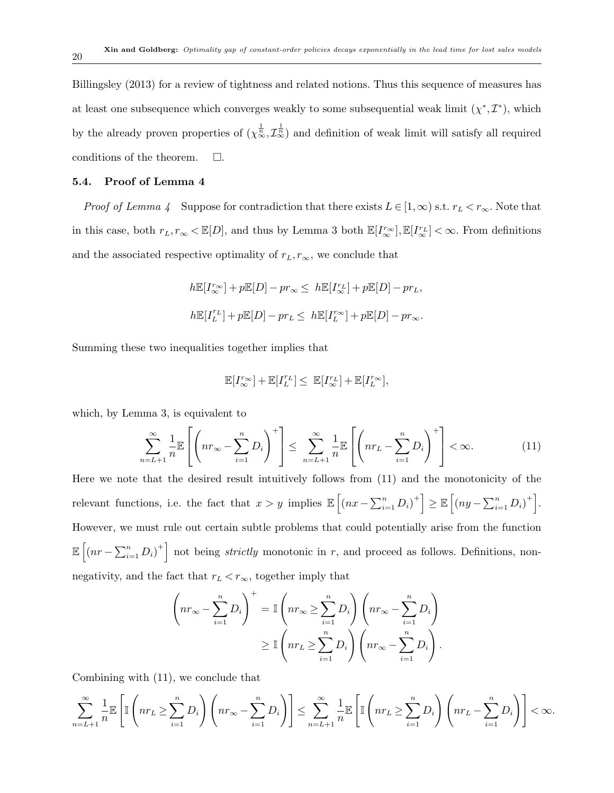Billingsley (2013) for a review of tightness and related notions. Thus this sequence of measures has at least one subsequence which converges weakly to some subsequential weak limit  $(\chi^*, \mathcal{I}^*)$ , which by the already proven properties of  $(\chi^{\frac{1}{n}}_{\infty}, \mathcal{I}_{\infty}^{\frac{1}{n}})$  and definition of weak limit will satisfy all required conditions of the theorem.  $\Box$ .

## 5.4. Proof of Lemma 4

*Proof of Lemma 4* Suppose for contradiction that there exists  $L \in [1,\infty)$  s.t.  $r_L < r_\infty$ . Note that in this case, both  $r_L, r_\infty \leq \mathbb{E}[D]$ , and thus by Lemma 3 both  $\mathbb{E}[I_\infty^{r_\infty}], \mathbb{E}[I_\infty^{r_L}] < \infty$ . From definitions and the associated respective optimality of  $r<sub>L</sub>, r<sub>\infty</sub>$ , we conclude that

$$
h\mathbb{E}[I_{\infty}^{r_{\infty}}]+p\mathbb{E}[D]-pr_{\infty}\leq h\mathbb{E}[I_{\infty}^{r_L}]+p\mathbb{E}[D]-pr_L,
$$
  

$$
h\mathbb{E}[I_{L}^{r_L}]+p\mathbb{E}[D]-pr_L\leq h\mathbb{E}[I_{L}^{r_{\infty}}]+p\mathbb{E}[D]-pr_{\infty}.
$$

Summing these two inequalities together implies that

$$
\mathbb{E}[I_\infty^{r_\infty}]+\mathbb{E}[I_L^{r_L}]\leq \mathbb{E}[I_\infty^{r_L}]+\mathbb{E}[I_L^{r_\infty}],
$$

which, by Lemma 3, is equivalent to

$$
\sum_{n=L+1}^{\infty} \frac{1}{n} \mathbb{E}\left[\left(nr_{\infty} - \sum_{i=1}^{n} D_i\right)^+\right] \leq \sum_{n=L+1}^{\infty} \frac{1}{n} \mathbb{E}\left[\left(nr_L - \sum_{i=1}^{n} D_i\right)^+\right] < \infty.
$$
 (11)

Here we note that the desired result intuitively follows from (11) and the monotonicity of the relevant functions, i.e. the fact that  $x > y$  implies  $\mathbb{E}\left[\left(nx - \sum_{i=1}^n D_i\right)^+\right] \geq \mathbb{E}\left[\left(ny - \sum_{i=1}^n D_i\right)^+\right]$ . However, we must rule out certain subtle problems that could potentially arise from the function  $\mathbb{E}\left[\left(nr-\sum_{i=1}^n D_i\right)^+\right]$  not being *strictly* monotonic in r, and proceed as follows. Definitions, nonnegativity, and the fact that  $r_L < r_\infty$ , together imply that

$$
\left(nr_{\infty}-\sum_{i=1}^{n}D_{i}\right)^{+}=\mathbb{I}\left(nr_{\infty}\geq\sum_{i=1}^{n}D_{i}\right)\left(nr_{\infty}-\sum_{i=1}^{n}D_{i}\right)
$$

$$
\geq\mathbb{I}\left(nr_{L}\geq\sum_{i=1}^{n}D_{i}\right)\left(nr_{\infty}-\sum_{i=1}^{n}D_{i}\right).
$$

Combining with (11), we conclude that

$$
\sum_{n=L+1}^{\infty} \frac{1}{n} \mathbb{E}\left[\mathbb{I}\left(nr_L \geq \sum_{i=1}^n D_i\right) \left(nr_\infty - \sum_{i=1}^n D_i\right)\right] \leq \sum_{n=L+1}^{\infty} \frac{1}{n} \mathbb{E}\left[\mathbb{I}\left(nr_L \geq \sum_{i=1}^n D_i\right) \left(nr_L - \sum_{i=1}^n D_i\right)\right] < \infty.
$$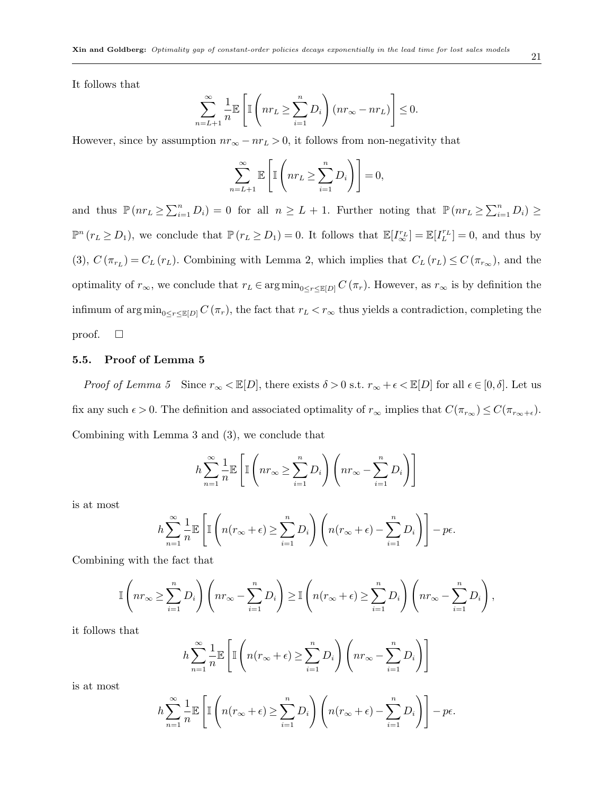It follows that

$$
\sum_{n=L+1}^{\infty} \frac{1}{n} \mathbb{E}\left[\mathbb{I}\left(nr_L \ge \sum_{i=1}^n D_i\right)(nr_{\infty} - nr_L)\right] \le 0.
$$

However, since by assumption  $nr_{\infty} - nr_{L} > 0$ , it follows from non-negativity that

$$
\sum_{n=L+1}^{\infty} \mathbb{E}\left[\mathbb{I}\left(nr_L \ge \sum_{i=1}^n D_i\right)\right] = 0,
$$

and thus  $\mathbb{P}(nr_L \geq \sum_{i=1}^n D_i) = 0$  for all  $n \geq L + 1$ . Further noting that  $\mathbb{P}(nr_L \geq \sum_{i=1}^n D_i) \geq$  $\mathbb{P}^n$   $(r_L \geq D_1)$ , we conclude that  $\mathbb{P}(r_L \geq D_1) = 0$ . It follows that  $\mathbb{E}[I_{\infty}^{r_L}] = \mathbb{E}[I_L^{r_L}] = 0$ , and thus by (3),  $C(\pi_{r_L}) = C_L(r_L)$ . Combining with Lemma 2, which implies that  $C_L(r_L) \leq C(\pi_{r_\infty})$ , and the optimality of  $r_{\infty}$ , we conclude that  $r_L \in \arg \min_{0 \le r \le E[D]} C(\pi_r)$ . However, as  $r_{\infty}$  is by definition the infimum of  $\arg \min_{0 \le r \le E[D]} C(\pi_r)$ , the fact that  $r_L < r_\infty$  thus yields a contradiction, completing the proof.  $\square$ 

### 5.5. Proof of Lemma 5

*Proof of Lemma 5* Since  $r_{\infty} < \mathbb{E}[D]$ , there exists  $\delta > 0$  s.t.  $r_{\infty} + \epsilon < \mathbb{E}[D]$  for all  $\epsilon \in [0, \delta]$ . Let us fix any such  $\epsilon > 0$ . The definition and associated optimality of  $r_{\infty}$  implies that  $C(\pi_{r_{\infty}}) \leq C(\pi_{r_{\infty}+\epsilon})$ . Combining with Lemma 3 and (3), we conclude that

$$
h\sum_{n=1}^{\infty} \frac{1}{n} \mathbb{E}\left[\mathbb{I}\left(nr_{\infty} \geq \sum_{i=1}^{n} D_{i}\right)\left(nr_{\infty} - \sum_{i=1}^{n} D_{i}\right)\right]
$$

is at most

$$
h\sum_{n=1}^{\infty}\frac{1}{n}\mathbb{E}\left[\mathbb{I}\left(n(r_{\infty}+\epsilon)\geq\sum_{i=1}^{n}D_{i}\right)\left(n(r_{\infty}+\epsilon)-\sum_{i=1}^{n}D_{i}\right)\right]-p\epsilon.
$$

Combining with the fact that

$$
\mathbb{I}\left(nr_{\infty}\geq \sum_{i=1}^{n}D_{i}\right)\left(nr_{\infty}-\sum_{i=1}^{n}D_{i}\right)\geq \mathbb{I}\left(n(r_{\infty}+\epsilon)\geq \sum_{i=1}^{n}D_{i}\right)\left(nr_{\infty}-\sum_{i=1}^{n}D_{i}\right),
$$

it follows that

$$
h\sum_{n=1}^{\infty}\frac{1}{n}\mathbb{E}\left[\mathbb{I}\left(n(r_{\infty}+\epsilon)\geq\sum_{i=1}^{n}D_{i}\right)\left(nr_{\infty}-\sum_{i=1}^{n}D_{i}\right)\right]
$$

is at most

$$
h\sum_{n=1}^{\infty}\frac{1}{n}\mathbb{E}\left[\mathbb{I}\left(n(r_{\infty}+\epsilon)\geq \sum_{i=1}^{n}D_{i}\right)\left(n(r_{\infty}+\epsilon)-\sum_{i=1}^{n}D_{i}\right)\right]-p\epsilon.
$$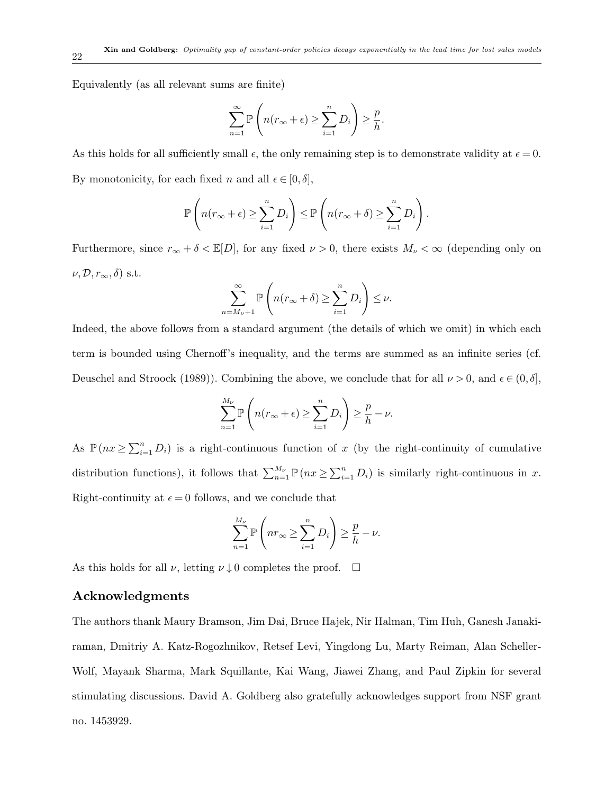Equivalently (as all relevant sums are finite)

$$
\sum_{n=1}^{\infty} \mathbb{P}\left(n(r_{\infty} + \epsilon) \ge \sum_{i=1}^{n} D_i\right) \ge \frac{p}{h}.
$$

As this holds for all sufficiently small  $\epsilon$ , the only remaining step is to demonstrate validity at  $\epsilon = 0$ . By monotonicity, for each fixed n and all  $\epsilon \in [0, \delta],$ 

$$
\mathbb{P}\left(n(r_{\infty}+\epsilon)\geq \sum_{i=1}^n D_i\right)\leq \mathbb{P}\left(n(r_{\infty}+\delta)\geq \sum_{i=1}^n D_i\right).
$$

Furthermore, since  $r_{\infty} + \delta \lt \mathbb{E}[D]$ , for any fixed  $\nu > 0$ , there exists  $M_{\nu} < \infty$  (depending only on  $\nu,\mathcal{D},r_\infty,\delta)$  s.t.

$$
\sum_{n=M_{\nu}+1}^{\infty} \mathbb{P}\left(n(r_{\infty}+\delta) \geq \sum_{i=1}^{n} D_i\right) \leq \nu.
$$

Indeed, the above follows from a standard argument (the details of which we omit) in which each term is bounded using Chernoff's inequality, and the terms are summed as an infinite series (cf. Deuschel and Stroock (1989)). Combining the above, we conclude that for all  $\nu > 0$ , and  $\epsilon \in (0, \delta]$ ,

$$
\sum_{n=1}^{M_{\nu}} \mathbb{P}\left(n(r_{\infty} + \epsilon) \ge \sum_{i=1}^{n} D_i\right) \ge \frac{p}{h} - \nu.
$$

As  $\mathbb{P}(nx \geq \sum_{i=1}^{n} D_i)$  is a right-continuous function of x (by the right-continuity of cumulative distribution functions), it follows that  $\sum_{n=1}^{M_{\nu}} \mathbb{P}(nx \geq \sum_{i=1}^{n} D_i)$  is similarly right-continuous in x. Right-continuity at  $\epsilon = 0$  follows, and we conclude that

$$
\sum_{n=1}^{M_{\nu}} \mathbb{P}\left(nr_{\infty} \geq \sum_{i=1}^{n} D_{i}\right) \geq \frac{p}{h} - \nu.
$$

As this holds for all  $\nu$ , letting  $\nu \downarrow 0$  completes the proof.  $\Box$ 

## Acknowledgments

The authors thank Maury Bramson, Jim Dai, Bruce Hajek, Nir Halman, Tim Huh, Ganesh Janakiraman, Dmitriy A. Katz-Rogozhnikov, Retsef Levi, Yingdong Lu, Marty Reiman, Alan Scheller-Wolf, Mayank Sharma, Mark Squillante, Kai Wang, Jiawei Zhang, and Paul Zipkin for several stimulating discussions. David A. Goldberg also gratefully acknowledges support from NSF grant no. 1453929.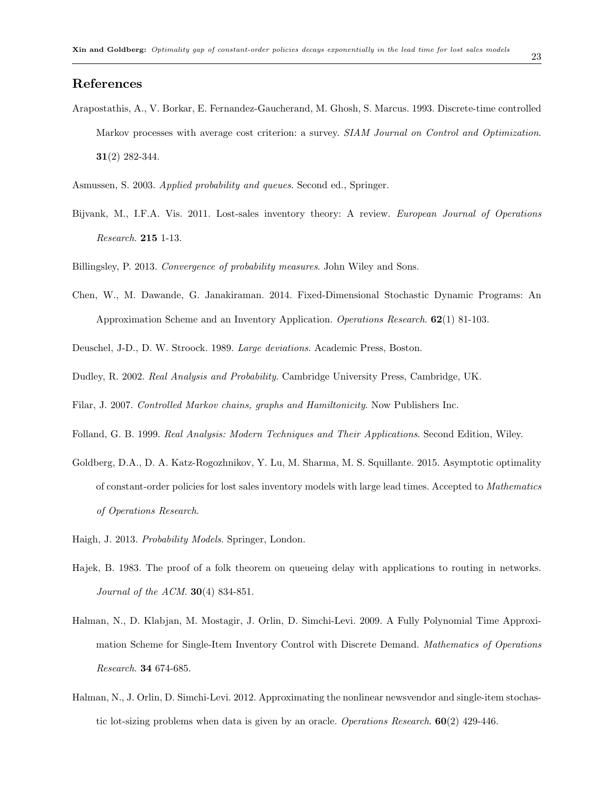# References

- Arapostathis, A., V. Borkar, E. Fernandez-Gaucherand, M. Ghosh, S. Marcus. 1993. Discrete-time controlled Markov processes with average cost criterion: a survey. SIAM Journal on Control and Optimization. 31(2) 282-344.
- Asmussen, S. 2003. Applied probability and queues. Second ed., Springer.
- Bijvank, M., I.F.A. Vis. 2011. Lost-sales inventory theory: A review. European Journal of Operations Research. 215 1-13.
- Billingsley, P. 2013. Convergence of probability measures. John Wiley and Sons.
- Chen, W., M. Dawande, G. Janakiraman. 2014. Fixed-Dimensional Stochastic Dynamic Programs: An Approximation Scheme and an Inventory Application. Operations Research. **62**(1) 81-103.
- Deuschel, J-D., D. W. Stroock. 1989. Large deviations. Academic Press, Boston.
- Dudley, R. 2002. Real Analysis and Probability. Cambridge University Press, Cambridge, UK.
- Filar, J. 2007. Controlled Markov chains, graphs and Hamiltonicity. Now Publishers Inc.
- Folland, G. B. 1999. Real Analysis: Modern Techniques and Their Applications. Second Edition, Wiley.
- Goldberg, D.A., D. A. Katz-Rogozhnikov, Y. Lu, M. Sharma, M. S. Squillante. 2015. Asymptotic optimality of constant-order policies for lost sales inventory models with large lead times. Accepted to Mathematics of Operations Research.
- Haigh, J. 2013. Probability Models. Springer, London.
- Hajek, B. 1983. The proof of a folk theorem on queueing delay with applications to routing in networks. *Journal of the ACM.* **30**(4) 834-851.
- Halman, N., D. Klabjan, M. Mostagir, J. Orlin, D. Simchi-Levi. 2009. A Fully Polynomial Time Approximation Scheme for Single-Item Inventory Control with Discrete Demand. Mathematics of Operations Research. 34 674-685.
- Halman, N., J. Orlin, D. Simchi-Levi. 2012. Approximating the nonlinear newsvendor and single-item stochastic lot-sizing problems when data is given by an oracle. Operations Research.  $60(2)$  429-446.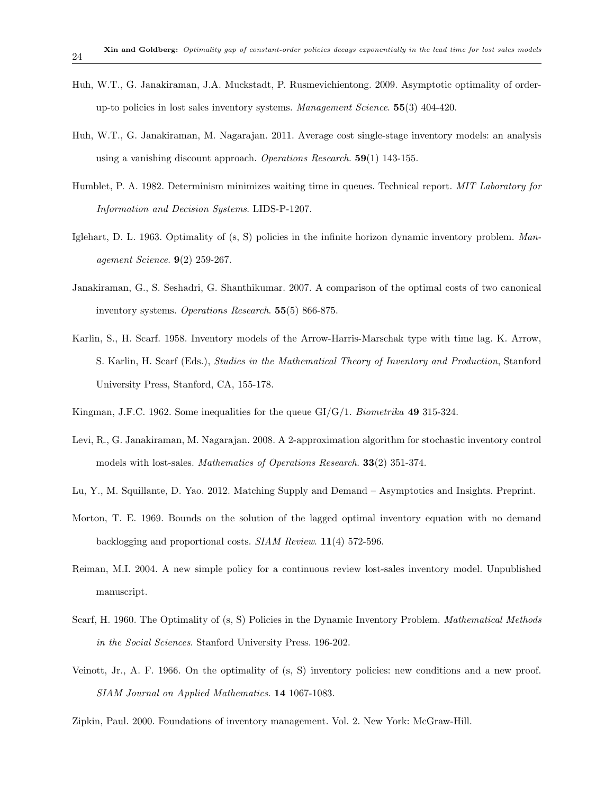- Huh, W.T., G. Janakiraman, J.A. Muckstadt, P. Rusmevichientong. 2009. Asymptotic optimality of orderup-to policies in lost sales inventory systems. Management Science. 55(3) 404-420.
- Huh, W.T., G. Janakiraman, M. Nagarajan. 2011. Average cost single-stage inventory models: an analysis using a vanishing discount approach. Operations Research.  $59(1)$  143-155.
- Humblet, P. A. 1982. Determinism minimizes waiting time in queues. Technical report. MIT Laboratory for Information and Decision Systems. LIDS-P-1207.
- Iglehart, D. L. 1963. Optimality of (s, S) policies in the infinite horizon dynamic inventory problem. Management Science. 9(2) 259-267.
- Janakiraman, G., S. Seshadri, G. Shanthikumar. 2007. A comparison of the optimal costs of two canonical inventory systems. Operations Research. 55(5) 866-875.
- Karlin, S., H. Scarf. 1958. Inventory models of the Arrow-Harris-Marschak type with time lag. K. Arrow, S. Karlin, H. Scarf (Eds.), Studies in the Mathematical Theory of Inventory and Production, Stanford University Press, Stanford, CA, 155-178.
- Kingman, J.F.C. 1962. Some inequalities for the queue  $GI/G/1$ . Biometrika 49 315-324.
- Levi, R., G. Janakiraman, M. Nagarajan. 2008. A 2-approximation algorithm for stochastic inventory control models with lost-sales. Mathematics of Operations Research. 33(2) 351-374.
- Lu, Y., M. Squillante, D. Yao. 2012. Matching Supply and Demand Asymptotics and Insights. Preprint.
- Morton, T. E. 1969. Bounds on the solution of the lagged optimal inventory equation with no demand backlogging and proportional costs. SIAM Review. 11(4) 572-596.
- Reiman, M.I. 2004. A new simple policy for a continuous review lost-sales inventory model. Unpublished manuscript.
- Scarf, H. 1960. The Optimality of  $(s, S)$  Policies in the Dynamic Inventory Problem. *Mathematical Methods* in the Social Sciences. Stanford University Press. 196-202.
- Veinott, Jr., A. F. 1966. On the optimality of (s, S) inventory policies: new conditions and a new proof. SIAM Journal on Applied Mathematics. 14 1067-1083.

Zipkin, Paul. 2000. Foundations of inventory management. Vol. 2. New York: McGraw-Hill.